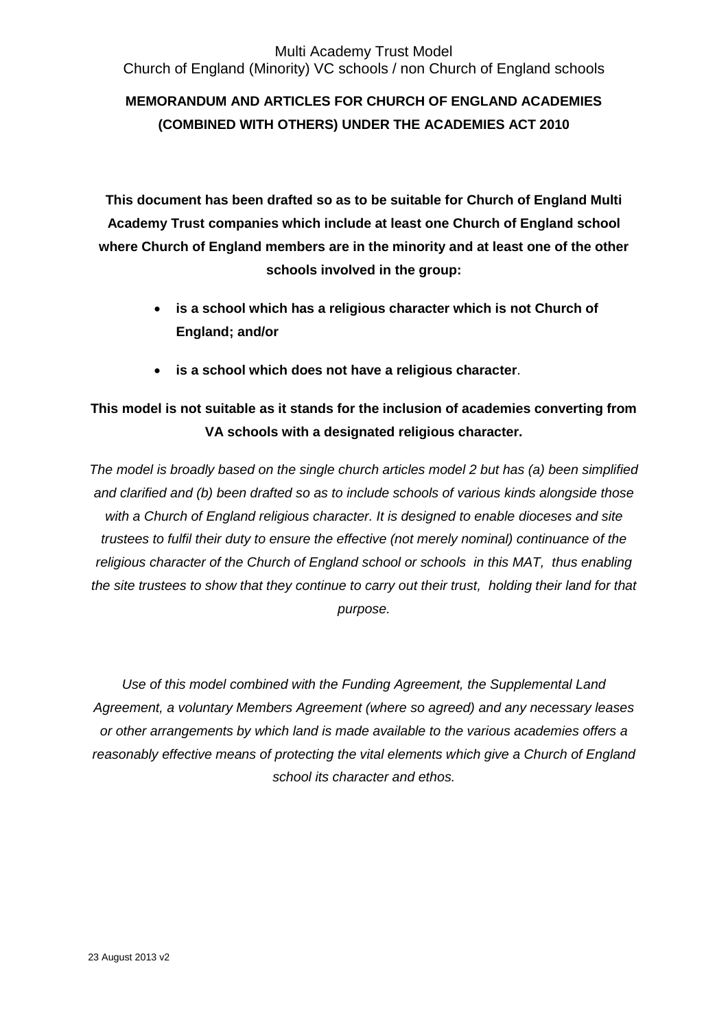# **MEMORANDUM AND ARTICLES FOR CHURCH OF ENGLAND ACADEMIES (COMBINED WITH OTHERS) UNDER THE ACADEMIES ACT 2010**

**This document has been drafted so as to be suitable for Church of England Multi Academy Trust companies which include at least one Church of England school where Church of England members are in the minority and at least one of the other schools involved in the group:**

- **is a school which has a religious character which is not Church of England; and/or**
- **is a school which does not have a religious character**.

# **This model is not suitable as it stands for the inclusion of academies converting from VA schools with a designated religious character.**

*The model is broadly based on the single church articles model 2 but has (a) been simplified and clarified and (b) been drafted so as to include schools of various kinds alongside those with a Church of England religious character. It is designed to enable dioceses and site trustees to fulfil their duty to ensure the effective (not merely nominal) continuance of the religious character of the Church of England school or schools in this MAT, thus enabling the site trustees to show that they continue to carry out their trust, holding their land for that purpose.* 

*Use of this model combined with the Funding Agreement, the Supplemental Land Agreement, a voluntary Members Agreement (where so agreed) and any necessary leases or other arrangements by which land is made available to the various academies offers a reasonably effective means of protecting the vital elements which give a Church of England school its character and ethos.*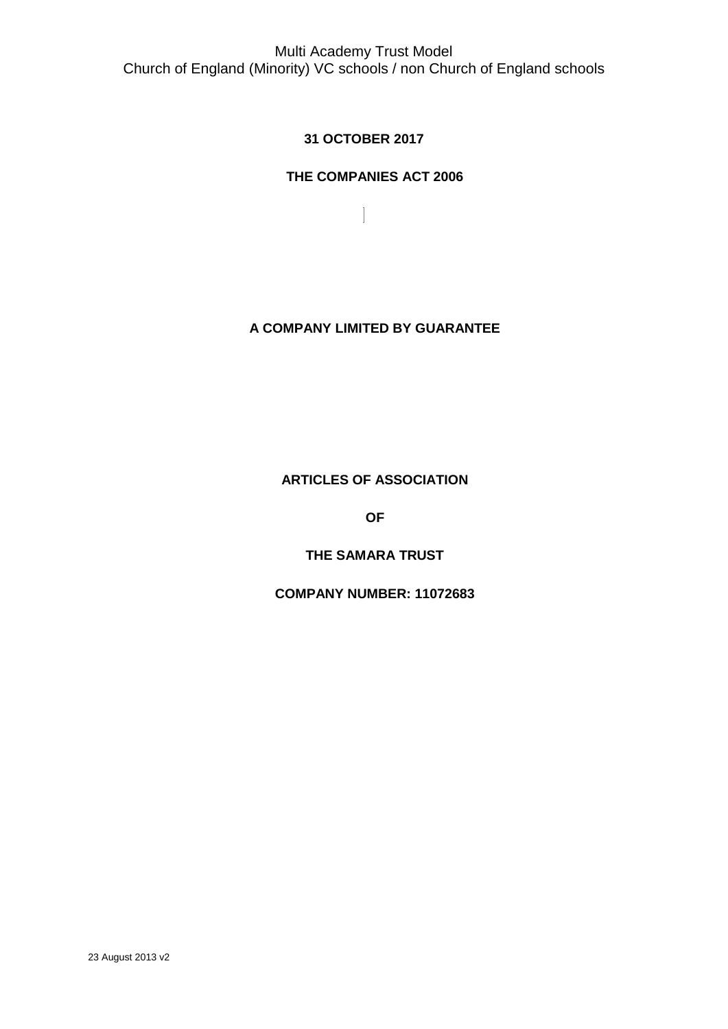# **31 OCTOBER 2017**

 $\overline{\phantom{a}}$ 

#### **THE COMPANIES ACT 2006**

**A COMPANY LIMITED BY GUARANTEE**

# **ARTICLES OF ASSOCIATION**

**OF**

# **THE SAMARA TRUST**

**COMPANY NUMBER: 11072683**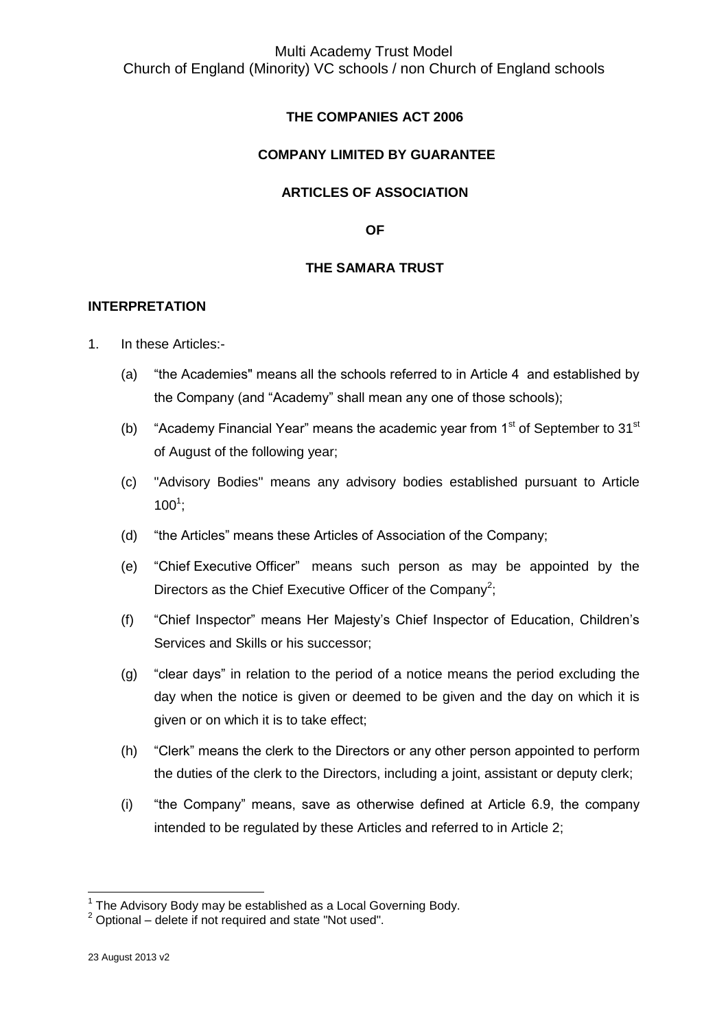# **THE COMPANIES ACT 2006**

# **COMPANY LIMITED BY GUARANTEE**

# **ARTICLES OF ASSOCIATION**

**OF**

## **THE SAMARA TRUST**

## **INTERPRETATION**

- 1. In these Articles:-
	- (a) "the Academies" means all the schools referred to in Article 4 and established by the Company (and "Academy" shall mean any one of those schools);
	- (b) "Academy Financial Year" means the academic year from  $1<sup>st</sup>$  of September to  $31<sup>st</sup>$ of August of the following year;
	- (c) "Advisory Bodies" means any advisory bodies established pursuant to Article  $100^1$ ;
	- (d) "the Articles" means these Articles of Association of the Company;
	- (e) "Chief Executive Officer" means such person as may be appointed by the Directors as the Chief Executive Officer of the Company<sup>2</sup>;
	- (f) "Chief Inspector" means Her Majesty's Chief Inspector of Education, Children's Services and Skills or his successor;
	- (g) "clear days" in relation to the period of a notice means the period excluding the day when the notice is given or deemed to be given and the day on which it is given or on which it is to take effect;
	- (h) "Clerk" means the clerk to the Directors or any other person appointed to perform the duties of the clerk to the Directors, including a joint, assistant or deputy clerk;
	- (i) "the Company" means, save as otherwise defined at Article 6.9, the company intended to be regulated by these Articles and referred to in Article 2;

<sup>1</sup>  $1$  The Advisory Body may be established as a Local Governing Body.

<sup>2</sup> Optional – delete if not required and state "Not used".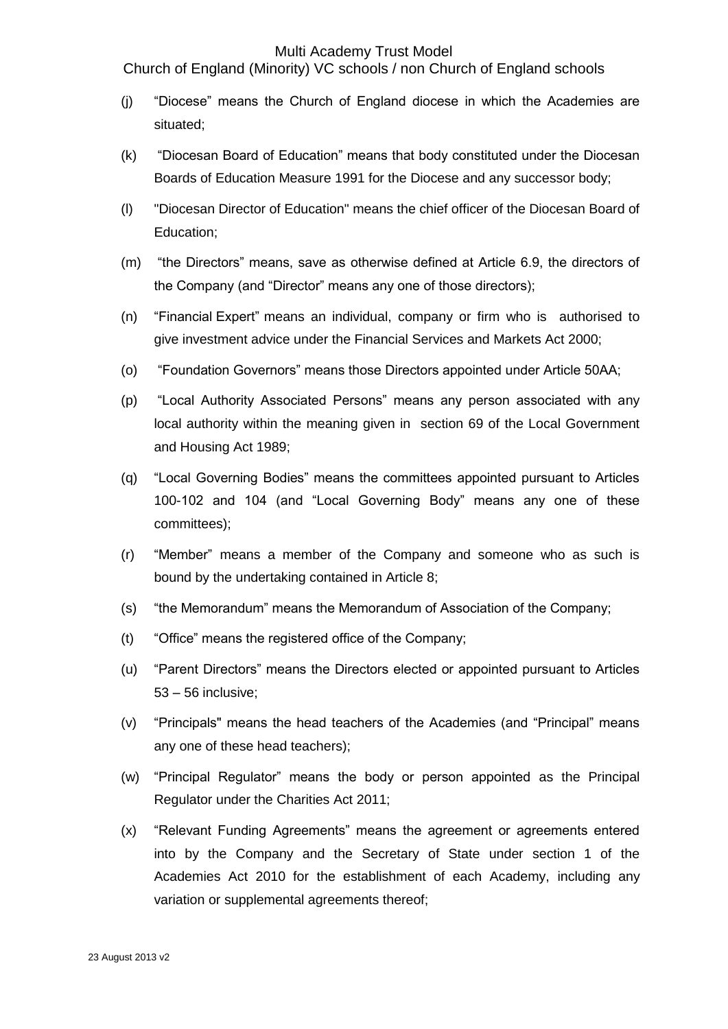Church of England (Minority) VC schools / non Church of England schools

- (j) "Diocese" means the Church of England diocese in which the Academies are situated;
- (k) "Diocesan Board of Education" means that body constituted under the Diocesan Boards of Education Measure 1991 for the Diocese and any successor body;
- (l) "Diocesan Director of Education" means the chief officer of the Diocesan Board of Education;
- (m) "the Directors" means, save as otherwise defined at Article 6.9, the directors of the Company (and "Director" means any one of those directors);
- (n) "Financial Expert" means an individual, company or firm who is authorised to give investment advice under the Financial Services and Markets Act 2000;
- (o) "Foundation Governors" means those Directors appointed under Article 50AA;
- (p) "Local Authority Associated Persons" means any person associated with any local authority within the meaning given in section 69 of the Local Government and Housing Act 1989;
- (q) "Local Governing Bodies" means the committees appointed pursuant to Articles 100-102 and 104 (and "Local Governing Body" means any one of these committees);
- (r) "Member" means a member of the Company and someone who as such is bound by the undertaking contained in Article 8;
- (s) "the Memorandum" means the Memorandum of Association of the Company;
- (t) "Office" means the registered office of the Company;
- (u) "Parent Directors" means the Directors elected or appointed pursuant to Articles 53 – 56 inclusive;
- (v) "Principals" means the head teachers of the Academies (and "Principal" means any one of these head teachers);
- (w) "Principal Regulator" means the body or person appointed as the Principal Regulator under the Charities Act 2011;
- (x) "Relevant Funding Agreements" means the agreement or agreements entered into by the Company and the Secretary of State under section 1 of the Academies Act 2010 for the establishment of each Academy, including any variation or supplemental agreements thereof;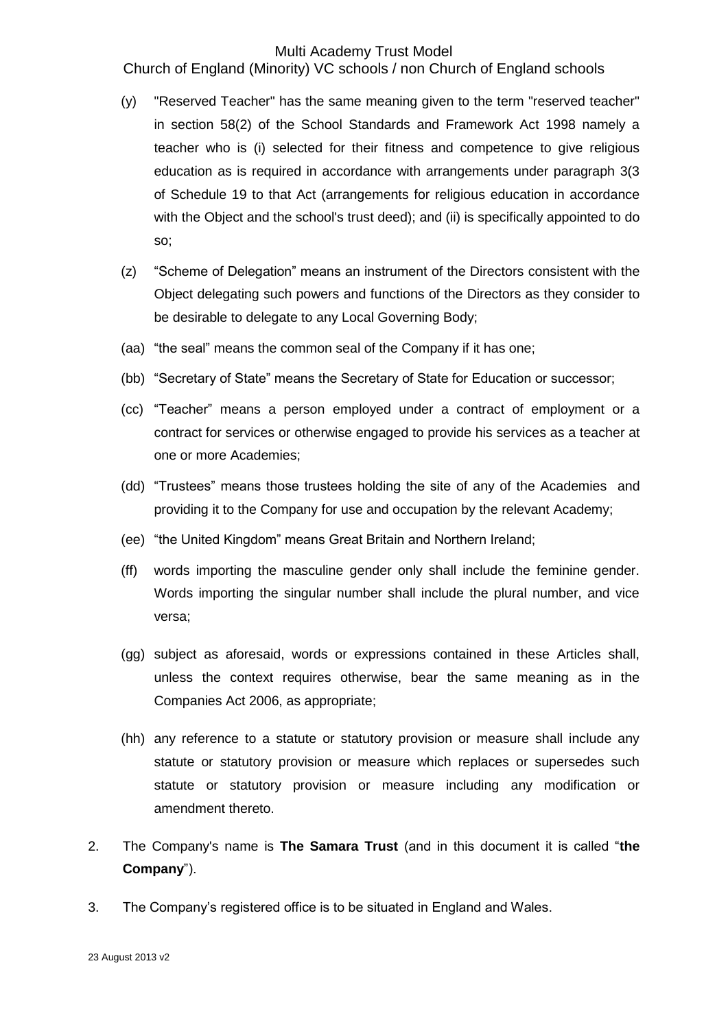Church of England (Minority) VC schools / non Church of England schools

- (y) "Reserved Teacher" has the same meaning given to the term "reserved teacher" in section 58(2) of the School Standards and Framework Act 1998 namely a teacher who is (i) selected for their fitness and competence to give religious education as is required in accordance with arrangements under paragraph 3(3 of Schedule 19 to that Act (arrangements for religious education in accordance with the Object and the school's trust deed); and (ii) is specifically appointed to do so;
- (z) "Scheme of Delegation" means an instrument of the Directors consistent with the Object delegating such powers and functions of the Directors as they consider to be desirable to delegate to any Local Governing Body;
- (aa) "the seal" means the common seal of the Company if it has one;
- (bb) "Secretary of State" means the Secretary of State for Education or successor;
- (cc) "Teacher" means a person employed under a contract of employment or a contract for services or otherwise engaged to provide his services as a teacher at one or more Academies;
- (dd) "Trustees" means those trustees holding the site of any of the Academies and providing it to the Company for use and occupation by the relevant Academy;
- (ee) "the United Kingdom" means Great Britain and Northern Ireland;
- (ff) words importing the masculine gender only shall include the feminine gender. Words importing the singular number shall include the plural number, and vice versa;
- (gg) subject as aforesaid, words or expressions contained in these Articles shall, unless the context requires otherwise, bear the same meaning as in the Companies Act 2006, as appropriate;
- (hh) any reference to a statute or statutory provision or measure shall include any statute or statutory provision or measure which replaces or supersedes such statute or statutory provision or measure including any modification or amendment thereto.
- 2. The Company's name is **The Samara Trust** (and in this document it is called "**the Company**").
- 3. The Company's registered office is to be situated in England and Wales.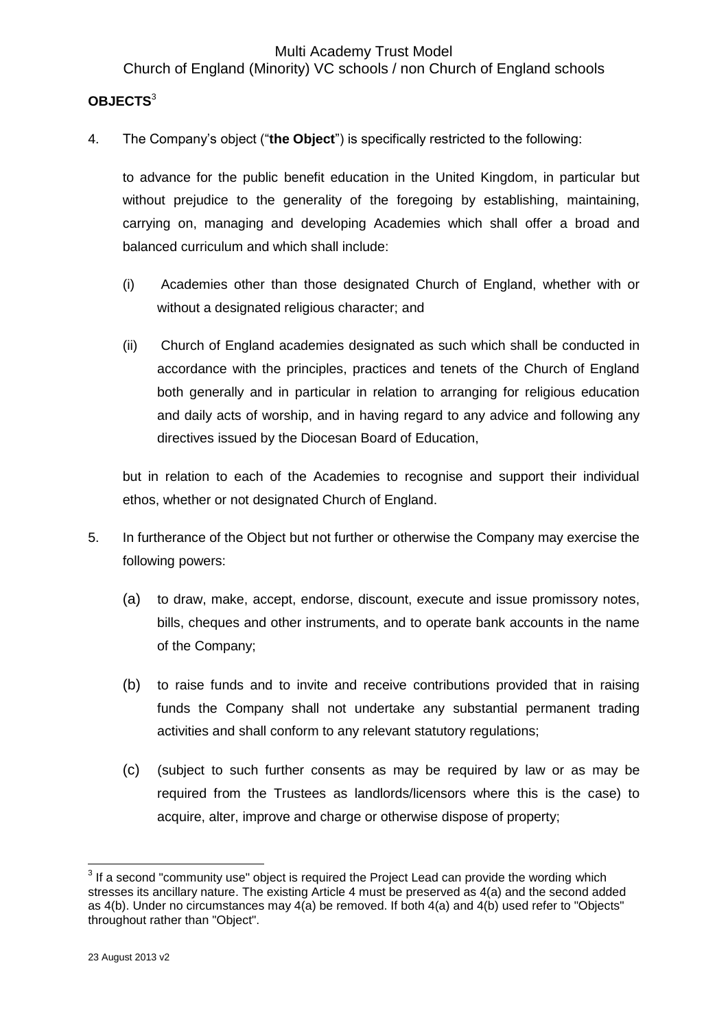# **OBJECTS**<sup>3</sup>

4. The Company's object ("**the Object**") is specifically restricted to the following:

to advance for the public benefit education in the United Kingdom, in particular but without prejudice to the generality of the foregoing by establishing, maintaining, carrying on, managing and developing Academies which shall offer a broad and balanced curriculum and which shall include:

- (i) Academies other than those designated Church of England, whether with or without a designated religious character; and
- (ii) Church of England academies designated as such which shall be conducted in accordance with the principles, practices and tenets of the Church of England both generally and in particular in relation to arranging for religious education and daily acts of worship, and in having regard to any advice and following any directives issued by the Diocesan Board of Education,

but in relation to each of the Academies to recognise and support their individual ethos, whether or not designated Church of England.

- 5. In furtherance of the Object but not further or otherwise the Company may exercise the following powers:
	- (a) to draw, make, accept, endorse, discount, execute and issue promissory notes, bills, cheques and other instruments, and to operate bank accounts in the name of the Company;
	- (b) to raise funds and to invite and receive contributions provided that in raising funds the Company shall not undertake any substantial permanent trading activities and shall conform to any relevant statutory regulations;
	- (c) (subject to such further consents as may be required by law or as may be required from the Trustees as landlords/licensors where this is the case) to acquire, alter, improve and charge or otherwise dispose of property;

1

 $3$  If a second "community use" object is required the Project Lead can provide the wording which stresses its ancillary nature. The existing Article 4 must be preserved as 4(a) and the second added as 4(b). Under no circumstances may 4(a) be removed. If both 4(a) and 4(b) used refer to "Objects" throughout rather than "Object".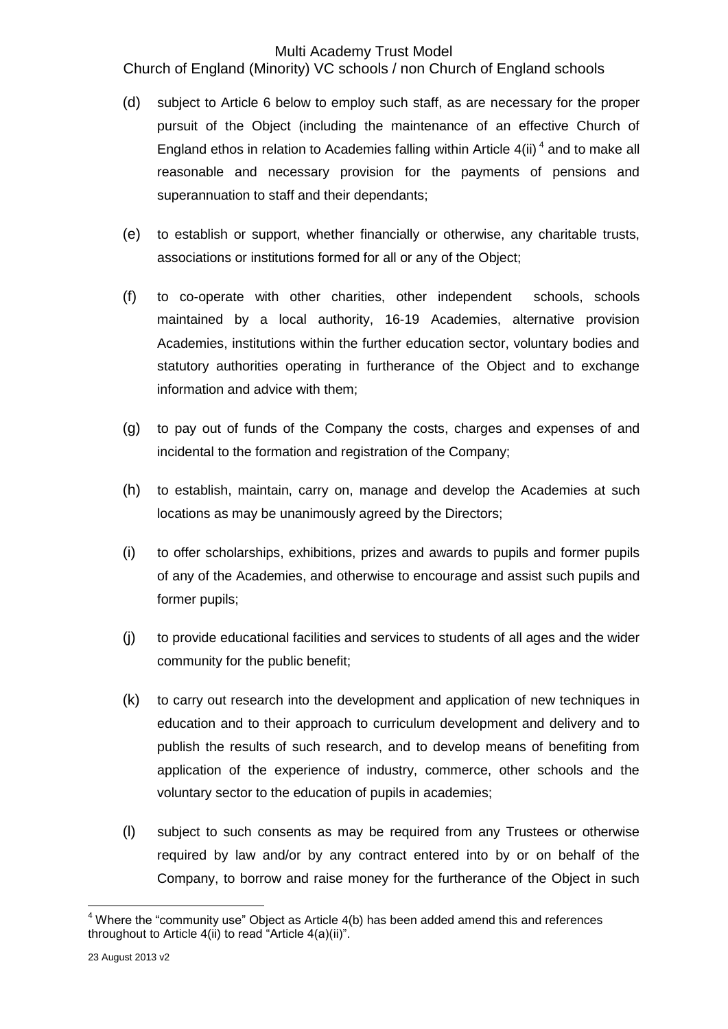Church of England (Minority) VC schools / non Church of England schools

- (d) subject to Article 6 below to employ such staff, as are necessary for the proper pursuit of the Object (including the maintenance of an effective Church of England ethos in relation to Academies falling within Article  $4(ii)^4$  and to make all reasonable and necessary provision for the payments of pensions and superannuation to staff and their dependants;
- (e) to establish or support, whether financially or otherwise, any charitable trusts, associations or institutions formed for all or any of the Object;
- (f) to co-operate with other charities, other independent schools, schools maintained by a local authority, 16-19 Academies, alternative provision Academies, institutions within the further education sector, voluntary bodies and statutory authorities operating in furtherance of the Object and to exchange information and advice with them;
- (g) to pay out of funds of the Company the costs, charges and expenses of and incidental to the formation and registration of the Company;
- (h) to establish, maintain, carry on, manage and develop the Academies at such locations as may be unanimously agreed by the Directors;
- (i) to offer scholarships, exhibitions, prizes and awards to pupils and former pupils of any of the Academies, and otherwise to encourage and assist such pupils and former pupils;
- (j) to provide educational facilities and services to students of all ages and the wider community for the public benefit;
- (k) to carry out research into the development and application of new techniques in education and to their approach to curriculum development and delivery and to publish the results of such research, and to develop means of benefiting from application of the experience of industry, commerce, other schools and the voluntary sector to the education of pupils in academies;
- (l) subject to such consents as may be required from any Trustees or otherwise required by law and/or by any contract entered into by or on behalf of the Company, to borrow and raise money for the furtherance of the Object in such

1

 $4$  Where the "community use" Object as Article  $4(b)$  has been added amend this and references throughout to Article  $4(ii)$  to read "Article  $4(a)(ii)$ ".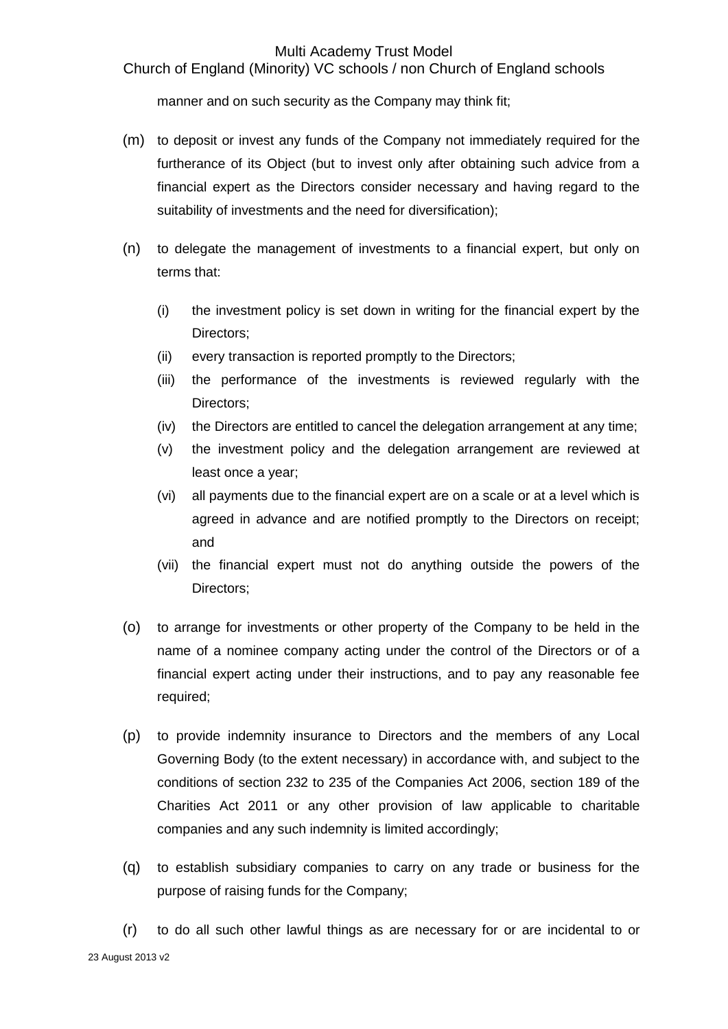Church of England (Minority) VC schools / non Church of England schools

manner and on such security as the Company may think fit;

- (m) to deposit or invest any funds of the Company not immediately required for the furtherance of its Object (but to invest only after obtaining such advice from a financial expert as the Directors consider necessary and having regard to the suitability of investments and the need for diversification);
- (n) to delegate the management of investments to a financial expert, but only on terms that:
	- (i) the investment policy is set down in writing for the financial expert by the Directors;
	- (ii) every transaction is reported promptly to the Directors;
	- (iii) the performance of the investments is reviewed regularly with the Directors;
	- (iv) the Directors are entitled to cancel the delegation arrangement at any time;
	- (v) the investment policy and the delegation arrangement are reviewed at least once a year;
	- (vi) all payments due to the financial expert are on a scale or at a level which is agreed in advance and are notified promptly to the Directors on receipt; and
	- (vii) the financial expert must not do anything outside the powers of the Directors;
- (o) to arrange for investments or other property of the Company to be held in the name of a nominee company acting under the control of the Directors or of a financial expert acting under their instructions, and to pay any reasonable fee required;
- (p) to provide indemnity insurance to Directors and the members of any Local Governing Body (to the extent necessary) in accordance with, and subject to the conditions of section 232 to 235 of the Companies Act 2006, section 189 of the Charities Act 2011 or any other provision of law applicable to charitable companies and any such indemnity is limited accordingly;
- (q) to establish subsidiary companies to carry on any trade or business for the purpose of raising funds for the Company;
- 23 August 2013 v2 (r) to do all such other lawful things as are necessary for or are incidental to or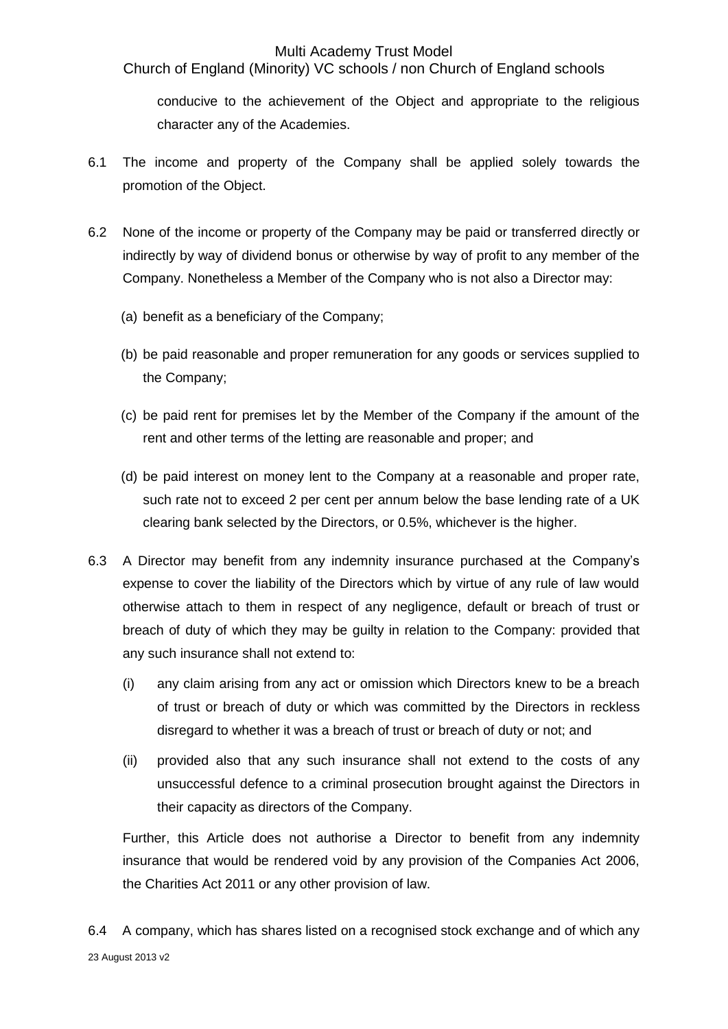Church of England (Minority) VC schools / non Church of England schools

conducive to the achievement of the Object and appropriate to the religious character any of the Academies.

- 6.1 The income and property of the Company shall be applied solely towards the promotion of the Object.
- 6.2 None of the income or property of the Company may be paid or transferred directly or indirectly by way of dividend bonus or otherwise by way of profit to any member of the Company. Nonetheless a Member of the Company who is not also a Director may:
	- (a) benefit as a beneficiary of the Company;
	- (b) be paid reasonable and proper remuneration for any goods or services supplied to the Company;
	- (c) be paid rent for premises let by the Member of the Company if the amount of the rent and other terms of the letting are reasonable and proper; and
	- (d) be paid interest on money lent to the Company at a reasonable and proper rate, such rate not to exceed 2 per cent per annum below the base lending rate of a UK clearing bank selected by the Directors, or 0.5%, whichever is the higher.
- 6.3 A Director may benefit from any indemnity insurance purchased at the Company's expense to cover the liability of the Directors which by virtue of any rule of law would otherwise attach to them in respect of any negligence, default or breach of trust or breach of duty of which they may be guilty in relation to the Company: provided that any such insurance shall not extend to:
	- (i) any claim arising from any act or omission which Directors knew to be a breach of trust or breach of duty or which was committed by the Directors in reckless disregard to whether it was a breach of trust or breach of duty or not; and
	- (ii) provided also that any such insurance shall not extend to the costs of any unsuccessful defence to a criminal prosecution brought against the Directors in their capacity as directors of the Company.

Further, this Article does not authorise a Director to benefit from any indemnity insurance that would be rendered void by any provision of the Companies Act 2006, the Charities Act 2011 or any other provision of law.

23 August 2013 v2 6.4 A company, which has shares listed on a recognised stock exchange and of which any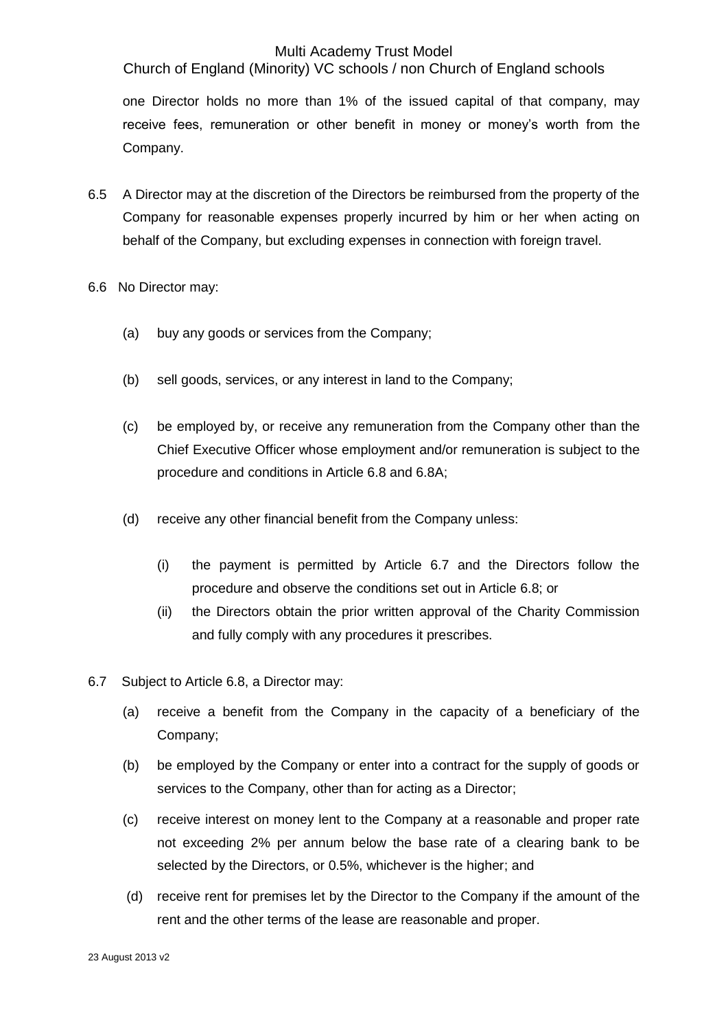Church of England (Minority) VC schools / non Church of England schools

one Director holds no more than 1% of the issued capital of that company, may receive fees, remuneration or other benefit in money or money's worth from the Company.

- 6.5 A Director may at the discretion of the Directors be reimbursed from the property of the Company for reasonable expenses properly incurred by him or her when acting on behalf of the Company, but excluding expenses in connection with foreign travel.
- 6.6 No Director may:
	- (a) buy any goods or services from the Company;
	- (b) sell goods, services, or any interest in land to the Company;
	- (c) be employed by, or receive any remuneration from the Company other than the Chief Executive Officer whose employment and/or remuneration is subject to the procedure and conditions in Article 6.8 and 6.8A;
	- (d) receive any other financial benefit from the Company unless:
		- (i) the payment is permitted by Article 6.7 and the Directors follow the procedure and observe the conditions set out in Article 6.8; or
		- (ii) the Directors obtain the prior written approval of the Charity Commission and fully comply with any procedures it prescribes.
- 6.7 Subject to Article 6.8, a Director may:
	- (a) receive a benefit from the Company in the capacity of a beneficiary of the Company;
	- (b) be employed by the Company or enter into a contract for the supply of goods or services to the Company, other than for acting as a Director;
	- (c) receive interest on money lent to the Company at a reasonable and proper rate not exceeding 2% per annum below the base rate of a clearing bank to be selected by the Directors, or 0.5%, whichever is the higher; and
	- (d) receive rent for premises let by the Director to the Company if the amount of the rent and the other terms of the lease are reasonable and proper.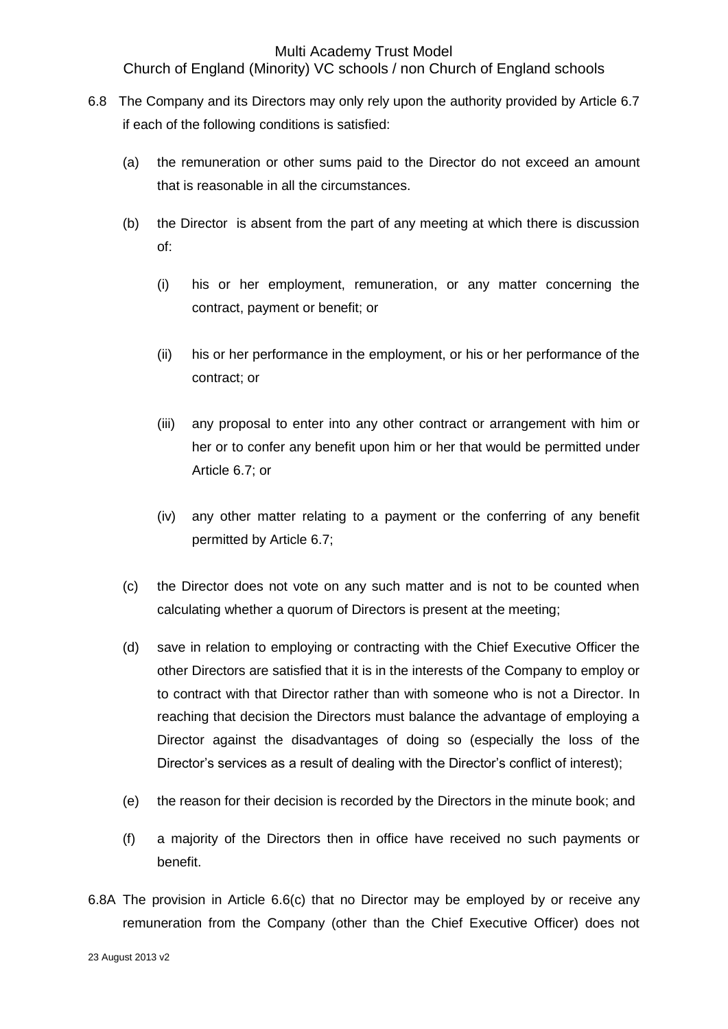Church of England (Minority) VC schools / non Church of England schools

- 6.8 The Company and its Directors may only rely upon the authority provided by Article 6.7 if each of the following conditions is satisfied:
	- (a) the remuneration or other sums paid to the Director do not exceed an amount that is reasonable in all the circumstances.
	- (b) the Director is absent from the part of any meeting at which there is discussion of:
		- (i) his or her employment, remuneration, or any matter concerning the contract, payment or benefit; or
		- (ii) his or her performance in the employment, or his or her performance of the contract; or
		- (iii) any proposal to enter into any other contract or arrangement with him or her or to confer any benefit upon him or her that would be permitted under Article 6.7; or
		- (iv) any other matter relating to a payment or the conferring of any benefit permitted by Article 6.7;
	- (c) the Director does not vote on any such matter and is not to be counted when calculating whether a quorum of Directors is present at the meeting;
	- (d) save in relation to employing or contracting with the Chief Executive Officer the other Directors are satisfied that it is in the interests of the Company to employ or to contract with that Director rather than with someone who is not a Director. In reaching that decision the Directors must balance the advantage of employing a Director against the disadvantages of doing so (especially the loss of the Director's services as a result of dealing with the Director's conflict of interest);
	- (e) the reason for their decision is recorded by the Directors in the minute book; and
	- (f) a majority of the Directors then in office have received no such payments or benefit.
- 6.8A The provision in Article 6.6(c) that no Director may be employed by or receive any remuneration from the Company (other than the Chief Executive Officer) does not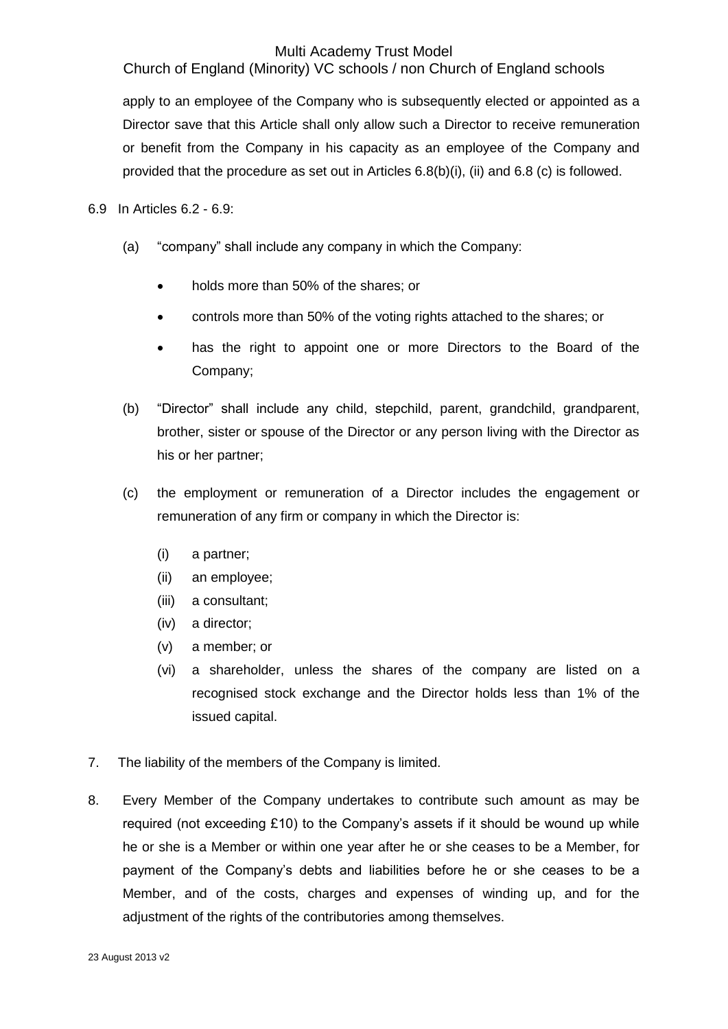Church of England (Minority) VC schools / non Church of England schools

apply to an employee of the Company who is subsequently elected or appointed as a Director save that this Article shall only allow such a Director to receive remuneration or benefit from the Company in his capacity as an employee of the Company and provided that the procedure as set out in Articles 6.8(b)(i), (ii) and 6.8 (c) is followed.

6.9 In Articles 6.2 - 6.9:

- (a) "company" shall include any company in which the Company:
	- holds more than 50% of the shares; or
	- controls more than 50% of the voting rights attached to the shares; or
	- has the right to appoint one or more Directors to the Board of the Company;
- (b) "Director" shall include any child, stepchild, parent, grandchild, grandparent, brother, sister or spouse of the Director or any person living with the Director as his or her partner;
- (c) the employment or remuneration of a Director includes the engagement or remuneration of any firm or company in which the Director is:
	- (i) a partner;
	- (ii) an employee;
	- (iii) a consultant;
	- (iv) a director;
	- (v) a member; or
	- (vi) a shareholder, unless the shares of the company are listed on a recognised stock exchange and the Director holds less than 1% of the issued capital.
- 7. The liability of the members of the Company is limited.
- 8. Every Member of the Company undertakes to contribute such amount as may be required (not exceeding £10) to the Company's assets if it should be wound up while he or she is a Member or within one year after he or she ceases to be a Member, for payment of the Company's debts and liabilities before he or she ceases to be a Member, and of the costs, charges and expenses of winding up, and for the adjustment of the rights of the contributories among themselves.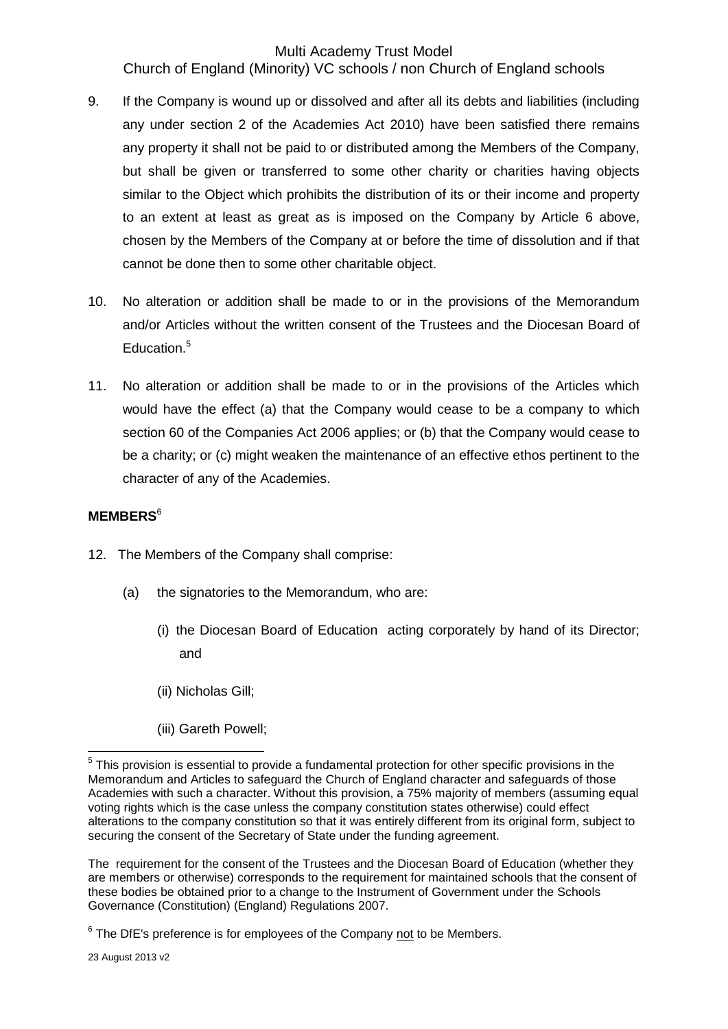- 9. If the Company is wound up or dissolved and after all its debts and liabilities (including any under section 2 of the Academies Act 2010) have been satisfied there remains any property it shall not be paid to or distributed among the Members of the Company, but shall be given or transferred to some other charity or charities having objects similar to the Object which prohibits the distribution of its or their income and property to an extent at least as great as is imposed on the Company by Article 6 above, chosen by the Members of the Company at or before the time of dissolution and if that cannot be done then to some other charitable object.
- 10. No alteration or addition shall be made to or in the provisions of the Memorandum and/or Articles without the written consent of the Trustees and the Diocesan Board of Education. 5
- 11. No alteration or addition shall be made to or in the provisions of the Articles which would have the effect (a) that the Company would cease to be a company to which section 60 of the Companies Act 2006 applies; or (b) that the Company would cease to be a charity; or (c) might weaken the maintenance of an effective ethos pertinent to the character of any of the Academies.

# **MEMBERS**<sup>6</sup>

1

- 12. The Members of the Company shall comprise:
	- (a) the signatories to the Memorandum, who are:
		- (i) the Diocesan Board of Education acting corporately by hand of its Director; and
		- (ii) Nicholas Gill;
		- (iii) Gareth Powell;

 $5$  This provision is essential to provide a fundamental protection for other specific provisions in the Memorandum and Articles to safeguard the Church of England character and safeguards of those Academies with such a character. Without this provision, a 75% majority of members (assuming equal voting rights which is the case unless the company constitution states otherwise) could effect alterations to the company constitution so that it was entirely different from its original form, subject to securing the consent of the Secretary of State under the funding agreement.

The requirement for the consent of the Trustees and the Diocesan Board of Education (whether they are members or otherwise) corresponds to the requirement for maintained schools that the consent of these bodies be obtained prior to a change to the Instrument of Government under the Schools Governance (Constitution) (England) Regulations 2007.

 $6$  The DfE's preference is for employees of the Company not to be Members.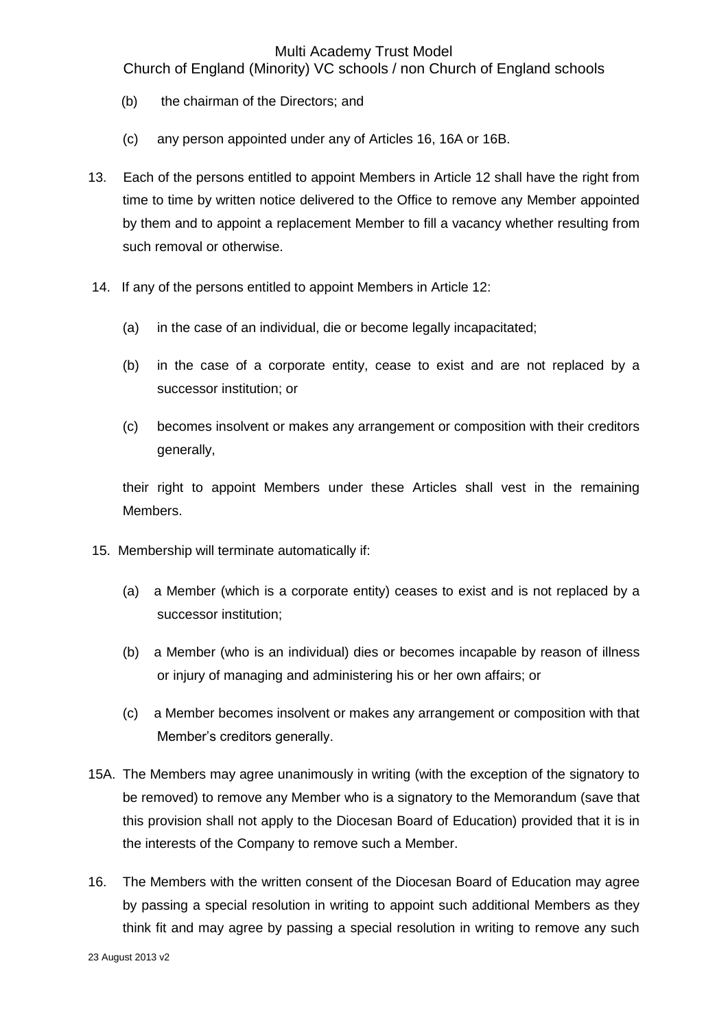Church of England (Minority) VC schools / non Church of England schools

- (b) the chairman of the Directors; and
- (c) any person appointed under any of Articles 16, 16A or 16B.
- 13. Each of the persons entitled to appoint Members in Article 12 shall have the right from time to time by written notice delivered to the Office to remove any Member appointed by them and to appoint a replacement Member to fill a vacancy whether resulting from such removal or otherwise.
- 14. If any of the persons entitled to appoint Members in Article 12:
	- (a) in the case of an individual, die or become legally incapacitated;
	- (b) in the case of a corporate entity, cease to exist and are not replaced by a successor institution; or
	- (c) becomes insolvent or makes any arrangement or composition with their creditors generally,

their right to appoint Members under these Articles shall vest in the remaining Members.

- 15. Membership will terminate automatically if:
	- (a) a Member (which is a corporate entity) ceases to exist and is not replaced by a successor institution;
	- (b) a Member (who is an individual) dies or becomes incapable by reason of illness or injury of managing and administering his or her own affairs; or
	- (c) a Member becomes insolvent or makes any arrangement or composition with that Member's creditors generally.
- 15A. The Members may agree unanimously in writing (with the exception of the signatory to be removed) to remove any Member who is a signatory to the Memorandum (save that this provision shall not apply to the Diocesan Board of Education) provided that it is in the interests of the Company to remove such a Member.
- 16. The Members with the written consent of the Diocesan Board of Education may agree by passing a special resolution in writing to appoint such additional Members as they think fit and may agree by passing a special resolution in writing to remove any such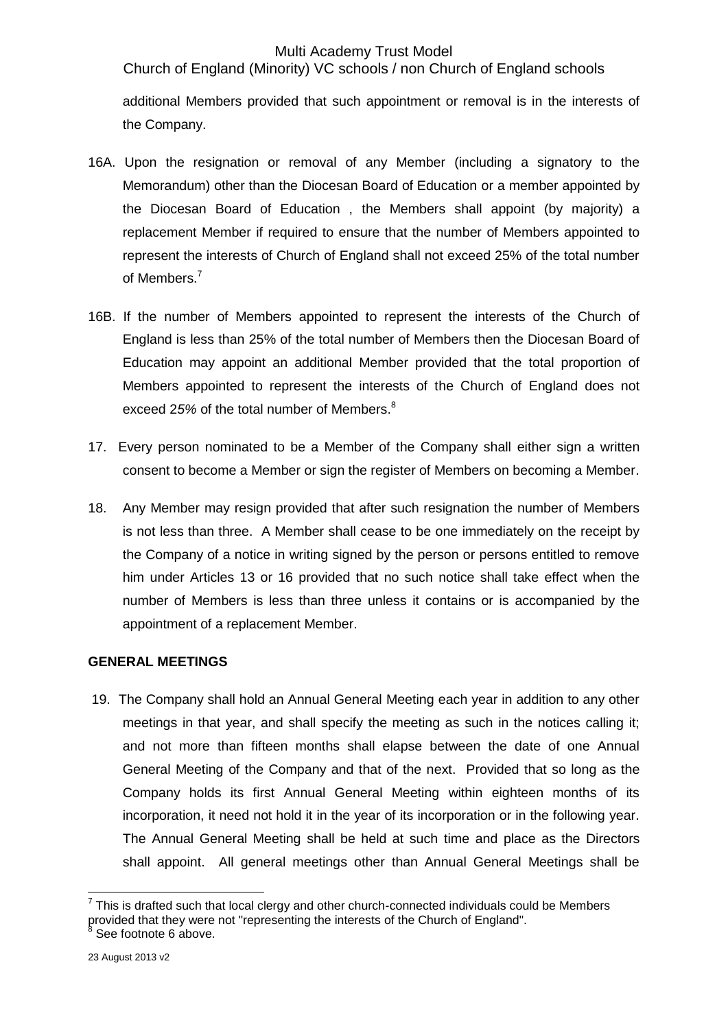Church of England (Minority) VC schools / non Church of England schools

additional Members provided that such appointment or removal is in the interests of the Company.

- 16A. Upon the resignation or removal of any Member (including a signatory to the Memorandum) other than the Diocesan Board of Education or a member appointed by the Diocesan Board of Education , the Members shall appoint (by majority) a replacement Member if required to ensure that the number of Members appointed to represent the interests of Church of England shall not exceed 25% of the total number of Members.<sup>7</sup>
- 16B. If the number of Members appointed to represent the interests of the Church of England is less than 25% of the total number of Members then the Diocesan Board of Education may appoint an additional Member provided that the total proportion of Members appointed to represent the interests of the Church of England does not exceed 25% of the total number of Members.<sup>8</sup>
- 17. Every person nominated to be a Member of the Company shall either sign a written consent to become a Member or sign the register of Members on becoming a Member.
- 18. Any Member may resign provided that after such resignation the number of Members is not less than three. A Member shall cease to be one immediately on the receipt by the Company of a notice in writing signed by the person or persons entitled to remove him under Articles 13 or 16 provided that no such notice shall take effect when the number of Members is less than three unless it contains or is accompanied by the appointment of a replacement Member.

# **GENERAL MEETINGS**

19. The Company shall hold an Annual General Meeting each year in addition to any other meetings in that year, and shall specify the meeting as such in the notices calling it; and not more than fifteen months shall elapse between the date of one Annual General Meeting of the Company and that of the next. Provided that so long as the Company holds its first Annual General Meeting within eighteen months of its incorporation, it need not hold it in the year of its incorporation or in the following year. The Annual General Meeting shall be held at such time and place as the Directors shall appoint. All general meetings other than Annual General Meetings shall be

<sup>1</sup>  $7$  This is drafted such that local clergy and other church-connected individuals could be Members provided that they were not "representing the interests of the Church of England".<br>8 See fectaate 6 above

See footnote 6 above.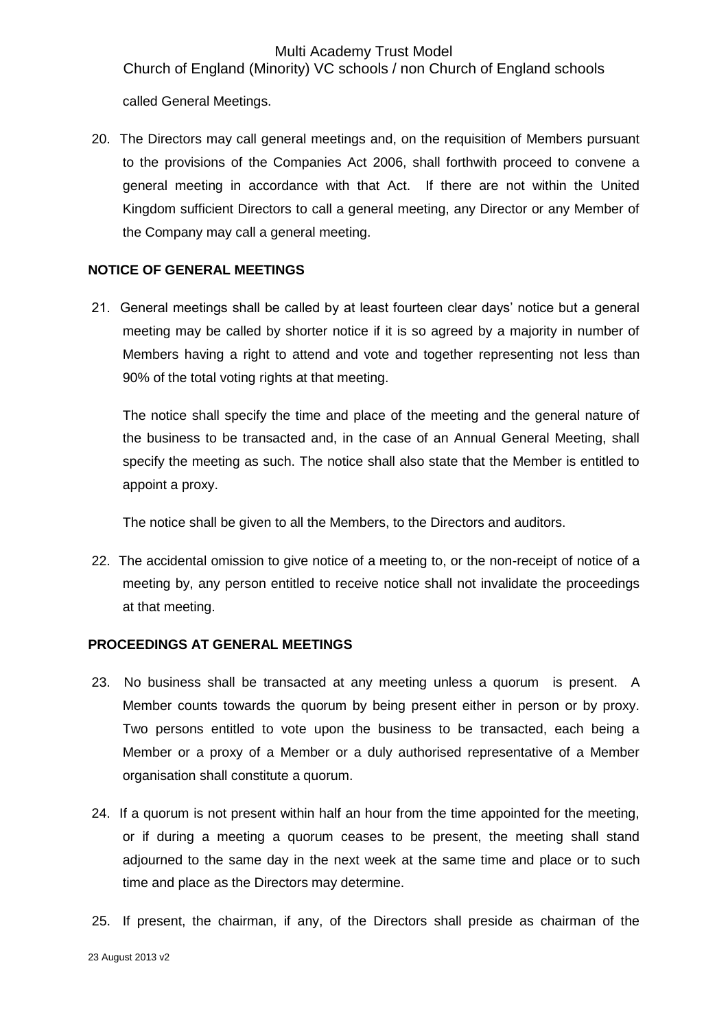Church of England (Minority) VC schools / non Church of England schools

called General Meetings.

20. The Directors may call general meetings and, on the requisition of Members pursuant to the provisions of the Companies Act 2006, shall forthwith proceed to convene a general meeting in accordance with that Act. If there are not within the United Kingdom sufficient Directors to call a general meeting, any Director or any Member of the Company may call a general meeting.

# **NOTICE OF GENERAL MEETINGS**

21. General meetings shall be called by at least fourteen clear days' notice but a general meeting may be called by shorter notice if it is so agreed by a majority in number of Members having a right to attend and vote and together representing not less than 90% of the total voting rights at that meeting.

The notice shall specify the time and place of the meeting and the general nature of the business to be transacted and, in the case of an Annual General Meeting, shall specify the meeting as such. The notice shall also state that the Member is entitled to appoint a proxy.

The notice shall be given to all the Members, to the Directors and auditors.

22. The accidental omission to give notice of a meeting to, or the non-receipt of notice of a meeting by, any person entitled to receive notice shall not invalidate the proceedings at that meeting.

# **PROCEEDINGS AT GENERAL MEETINGS**

- 23. No business shall be transacted at any meeting unless a quorum is present. A Member counts towards the quorum by being present either in person or by proxy. Two persons entitled to vote upon the business to be transacted, each being a Member or a proxy of a Member or a duly authorised representative of a Member organisation shall constitute a quorum.
- 24. If a quorum is not present within half an hour from the time appointed for the meeting, or if during a meeting a quorum ceases to be present, the meeting shall stand adjourned to the same day in the next week at the same time and place or to such time and place as the Directors may determine.
- 25. If present, the chairman, if any, of the Directors shall preside as chairman of the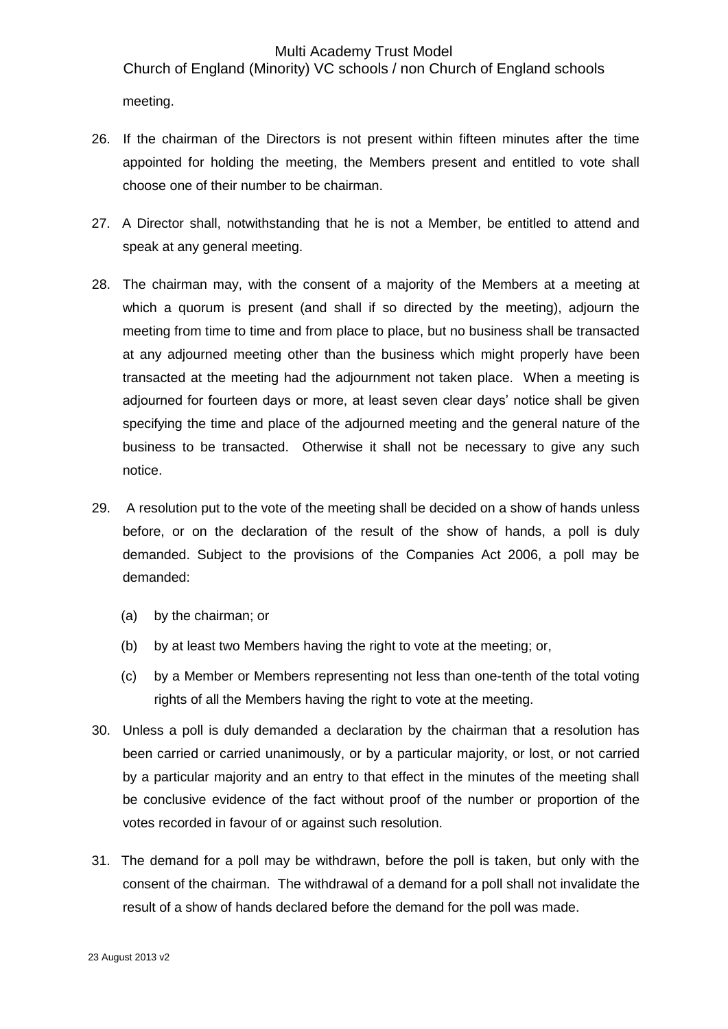Church of England (Minority) VC schools / non Church of England schools

meeting.

- 26. If the chairman of the Directors is not present within fifteen minutes after the time appointed for holding the meeting, the Members present and entitled to vote shall choose one of their number to be chairman.
- 27. A Director shall, notwithstanding that he is not a Member, be entitled to attend and speak at any general meeting.
- 28. The chairman may, with the consent of a majority of the Members at a meeting at which a quorum is present (and shall if so directed by the meeting), adjourn the meeting from time to time and from place to place, but no business shall be transacted at any adjourned meeting other than the business which might properly have been transacted at the meeting had the adjournment not taken place. When a meeting is adjourned for fourteen days or more, at least seven clear days' notice shall be given specifying the time and place of the adjourned meeting and the general nature of the business to be transacted. Otherwise it shall not be necessary to give any such notice.
- 29. A resolution put to the vote of the meeting shall be decided on a show of hands unless before, or on the declaration of the result of the show of hands, a poll is duly demanded. Subject to the provisions of the Companies Act 2006, a poll may be demanded:
	- (a) by the chairman; or
	- (b) by at least two Members having the right to vote at the meeting; or,
	- (c) by a Member or Members representing not less than one-tenth of the total voting rights of all the Members having the right to vote at the meeting.
- 30. Unless a poll is duly demanded a declaration by the chairman that a resolution has been carried or carried unanimously, or by a particular majority, or lost, or not carried by a particular majority and an entry to that effect in the minutes of the meeting shall be conclusive evidence of the fact without proof of the number or proportion of the votes recorded in favour of or against such resolution.
- 31. The demand for a poll may be withdrawn, before the poll is taken, but only with the consent of the chairman. The withdrawal of a demand for a poll shall not invalidate the result of a show of hands declared before the demand for the poll was made.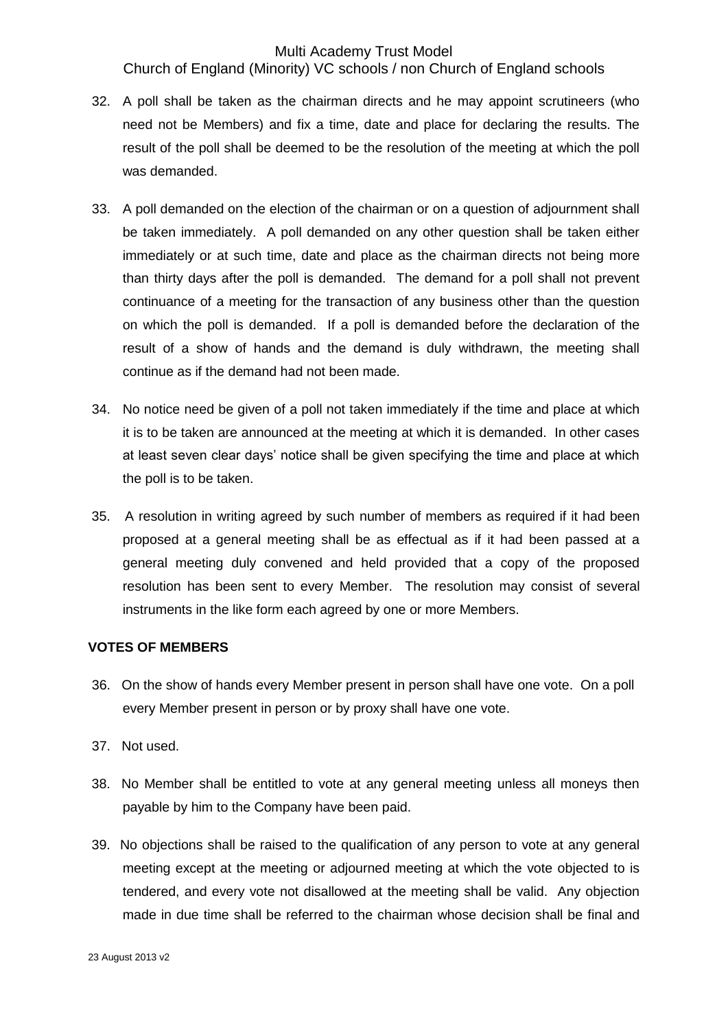Church of England (Minority) VC schools / non Church of England schools

- 32. A poll shall be taken as the chairman directs and he may appoint scrutineers (who need not be Members) and fix a time, date and place for declaring the results. The result of the poll shall be deemed to be the resolution of the meeting at which the poll was demanded.
- 33. A poll demanded on the election of the chairman or on a question of adjournment shall be taken immediately. A poll demanded on any other question shall be taken either immediately or at such time, date and place as the chairman directs not being more than thirty days after the poll is demanded. The demand for a poll shall not prevent continuance of a meeting for the transaction of any business other than the question on which the poll is demanded. If a poll is demanded before the declaration of the result of a show of hands and the demand is duly withdrawn, the meeting shall continue as if the demand had not been made.
- 34. No notice need be given of a poll not taken immediately if the time and place at which it is to be taken are announced at the meeting at which it is demanded. In other cases at least seven clear days' notice shall be given specifying the time and place at which the poll is to be taken.
- 35. A resolution in writing agreed by such number of members as required if it had been proposed at a general meeting shall be as effectual as if it had been passed at a general meeting duly convened and held provided that a copy of the proposed resolution has been sent to every Member. The resolution may consist of several instruments in the like form each agreed by one or more Members.

#### **VOTES OF MEMBERS**

- 36. On the show of hands every Member present in person shall have one vote. On a poll every Member present in person or by proxy shall have one vote.
- 37. Not used.
- 38. No Member shall be entitled to vote at any general meeting unless all moneys then payable by him to the Company have been paid.
- 39. No objections shall be raised to the qualification of any person to vote at any general meeting except at the meeting or adjourned meeting at which the vote objected to is tendered, and every vote not disallowed at the meeting shall be valid. Any objection made in due time shall be referred to the chairman whose decision shall be final and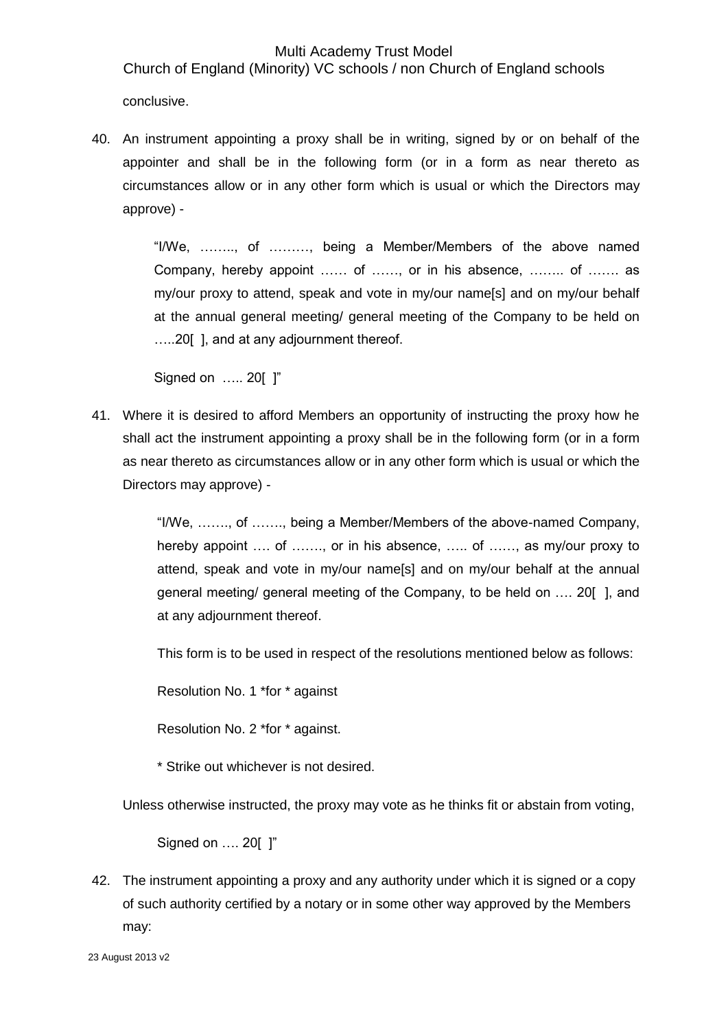Church of England (Minority) VC schools / non Church of England schools

conclusive.

40. An instrument appointing a proxy shall be in writing, signed by or on behalf of the appointer and shall be in the following form (or in a form as near thereto as circumstances allow or in any other form which is usual or which the Directors may approve) -

> "I/We, …….., of ………, being a Member/Members of the above named Company, hereby appoint …… of ……, or in his absence, …….. of ……. as my/our proxy to attend, speak and vote in my/our name[s] and on my/our behalf at the annual general meeting/ general meeting of the Company to be held on …..20[ ], and at any adjournment thereof.

Signed on ….. 20[ ]"

41. Where it is desired to afford Members an opportunity of instructing the proxy how he shall act the instrument appointing a proxy shall be in the following form (or in a form as near thereto as circumstances allow or in any other form which is usual or which the Directors may approve) -

> "I/We, ……., of ……., being a Member/Members of the above-named Company, hereby appoint .... of …...., or in his absence, ..... of …..., as my/our proxy to attend, speak and vote in my/our name[s] and on my/our behalf at the annual general meeting/ general meeting of the Company, to be held on …. 20[ ], and at any adjournment thereof.

This form is to be used in respect of the resolutions mentioned below as follows:

Resolution No. 1 \*for \* against

Resolution No. 2 \*for \* against.

\* Strike out whichever is not desired.

Unless otherwise instructed, the proxy may vote as he thinks fit or abstain from voting,

Signed on …. 20[ ]"

42. The instrument appointing a proxy and any authority under which it is signed or a copy of such authority certified by a notary or in some other way approved by the Members may: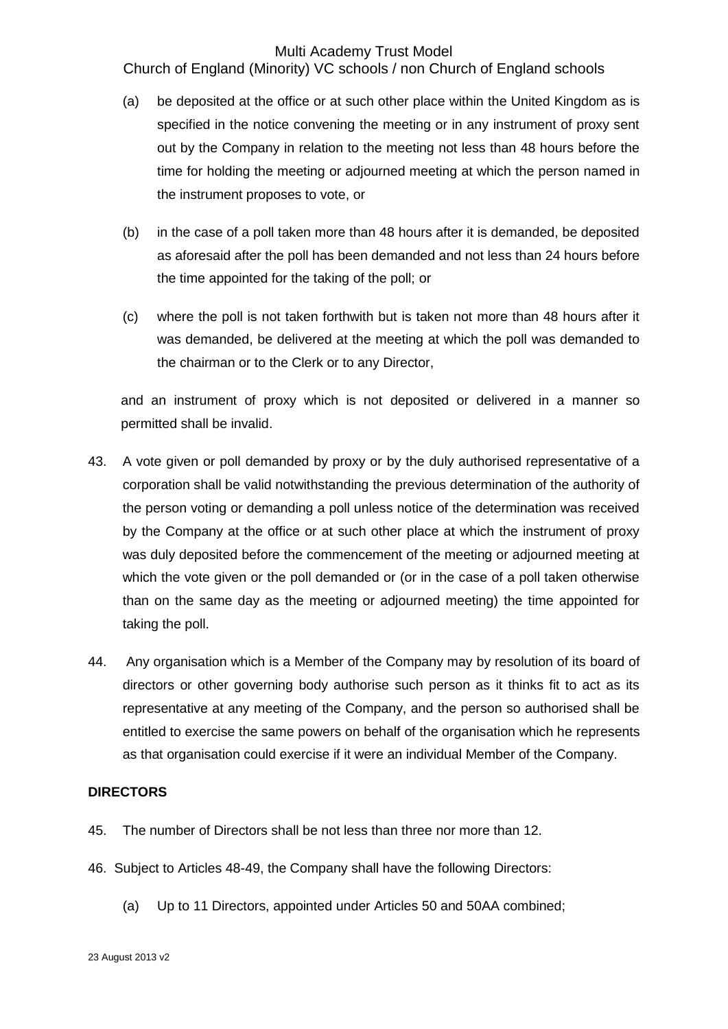Church of England (Minority) VC schools / non Church of England schools

- (a) be deposited at the office or at such other place within the United Kingdom as is specified in the notice convening the meeting or in any instrument of proxy sent out by the Company in relation to the meeting not less than 48 hours before the time for holding the meeting or adjourned meeting at which the person named in the instrument proposes to vote, or
- (b) in the case of a poll taken more than 48 hours after it is demanded, be deposited as aforesaid after the poll has been demanded and not less than 24 hours before the time appointed for the taking of the poll; or
- (c) where the poll is not taken forthwith but is taken not more than 48 hours after it was demanded, be delivered at the meeting at which the poll was demanded to the chairman or to the Clerk or to any Director,

and an instrument of proxy which is not deposited or delivered in a manner so permitted shall be invalid.

- 43. A vote given or poll demanded by proxy or by the duly authorised representative of a corporation shall be valid notwithstanding the previous determination of the authority of the person voting or demanding a poll unless notice of the determination was received by the Company at the office or at such other place at which the instrument of proxy was duly deposited before the commencement of the meeting or adjourned meeting at which the vote given or the poll demanded or (or in the case of a poll taken otherwise than on the same day as the meeting or adjourned meeting) the time appointed for taking the poll.
- 44. Any organisation which is a Member of the Company may by resolution of its board of directors or other governing body authorise such person as it thinks fit to act as its representative at any meeting of the Company, and the person so authorised shall be entitled to exercise the same powers on behalf of the organisation which he represents as that organisation could exercise if it were an individual Member of the Company.

## **DIRECTORS**

- 45. The number of Directors shall be not less than three nor more than 12.
- 46. Subject to Articles 48-49, the Company shall have the following Directors:
	- (a) Up to 11 Directors, appointed under Articles 50 and 50AA combined;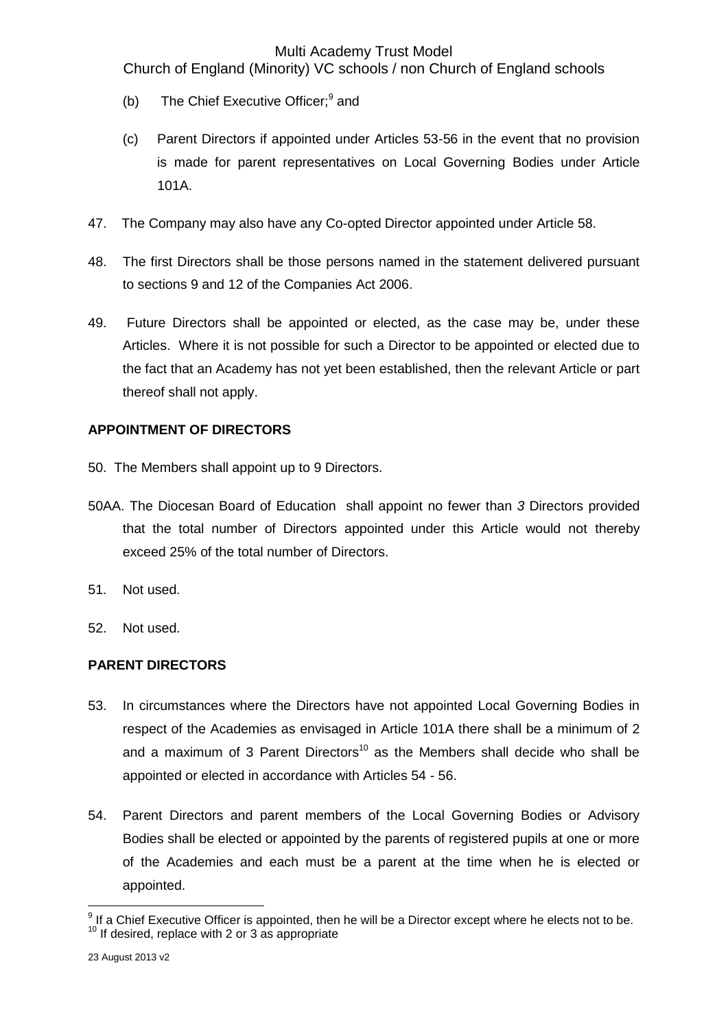Church of England (Minority) VC schools / non Church of England schools

- (b) The Chief Executive Officer;<sup>9</sup> and
- (c) Parent Directors if appointed under Articles 53-56 in the event that no provision is made for parent representatives on Local Governing Bodies under Article 101A.
- 47. The Company may also have any Co-opted Director appointed under Article 58.
- 48. The first Directors shall be those persons named in the statement delivered pursuant to sections 9 and 12 of the Companies Act 2006.
- 49. Future Directors shall be appointed or elected, as the case may be, under these Articles. Where it is not possible for such a Director to be appointed or elected due to the fact that an Academy has not yet been established, then the relevant Article or part thereof shall not apply.

# **APPOINTMENT OF DIRECTORS**

- 50. The Members shall appoint up to 9 Directors.
- 50AA. The Diocesan Board of Education shall appoint no fewer than *3* Directors provided that the total number of Directors appointed under this Article would not thereby exceed 25% of the total number of Directors.
- 51. Not used.
- 52. Not used.

# **PARENT DIRECTORS**

- 53. In circumstances where the Directors have not appointed Local Governing Bodies in respect of the Academies as envisaged in Article 101A there shall be a minimum of 2 and a maximum of 3 Parent Directors<sup>10</sup> as the Members shall decide who shall be appointed or elected in accordance with Articles 54 - 56.
- 54. Parent Directors and parent members of the Local Governing Bodies or Advisory Bodies shall be elected or appointed by the parents of registered pupils at one or more of the Academies and each must be a parent at the time when he is elected or appointed.

 9 If a Chief Executive Officer is appointed, then he will be a Director except where he elects not to be. <sup>10</sup> If desired, replace with 2 or 3 as appropriate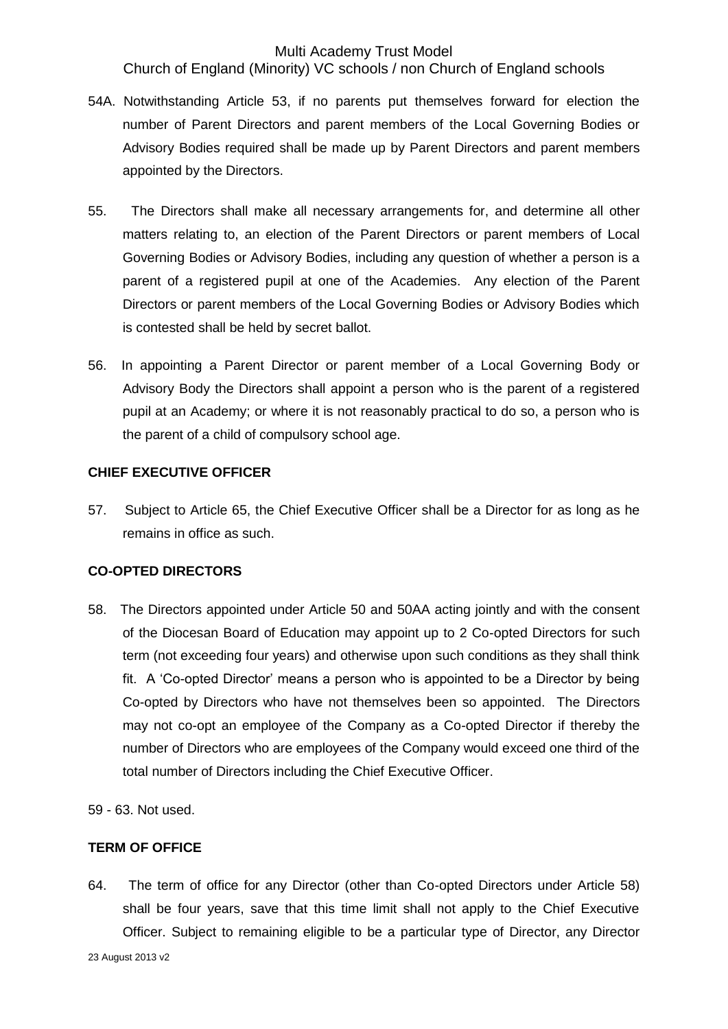Church of England (Minority) VC schools / non Church of England schools

- 54A. Notwithstanding Article 53, if no parents put themselves forward for election the number of Parent Directors and parent members of the Local Governing Bodies or Advisory Bodies required shall be made up by Parent Directors and parent members appointed by the Directors.
- 55. The Directors shall make all necessary arrangements for, and determine all other matters relating to, an election of the Parent Directors or parent members of Local Governing Bodies or Advisory Bodies, including any question of whether a person is a parent of a registered pupil at one of the Academies. Any election of the Parent Directors or parent members of the Local Governing Bodies or Advisory Bodies which is contested shall be held by secret ballot.
- 56. In appointing a Parent Director or parent member of a Local Governing Body or Advisory Body the Directors shall appoint a person who is the parent of a registered pupil at an Academy; or where it is not reasonably practical to do so, a person who is the parent of a child of compulsory school age.

# **CHIEF EXECUTIVE OFFICER**

57. Subject to Article 65, the Chief Executive Officer shall be a Director for as long as he remains in office as such.

# **CO-OPTED DIRECTORS**

- 58. The Directors appointed under Article 50 and 50AA acting jointly and with the consent of the Diocesan Board of Education may appoint up to 2 Co-opted Directors for such term (not exceeding four years) and otherwise upon such conditions as they shall think fit. A 'Co-opted Director' means a person who is appointed to be a Director by being Co-opted by Directors who have not themselves been so appointed. The Directors may not co-opt an employee of the Company as a Co-opted Director if thereby the number of Directors who are employees of the Company would exceed one third of the total number of Directors including the Chief Executive Officer.
- 59 63. Not used.

# **TERM OF OFFICE**

64. The term of office for any Director (other than Co-opted Directors under Article 58) shall be four years, save that this time limit shall not apply to the Chief Executive Officer. Subject to remaining eligible to be a particular type of Director, any Director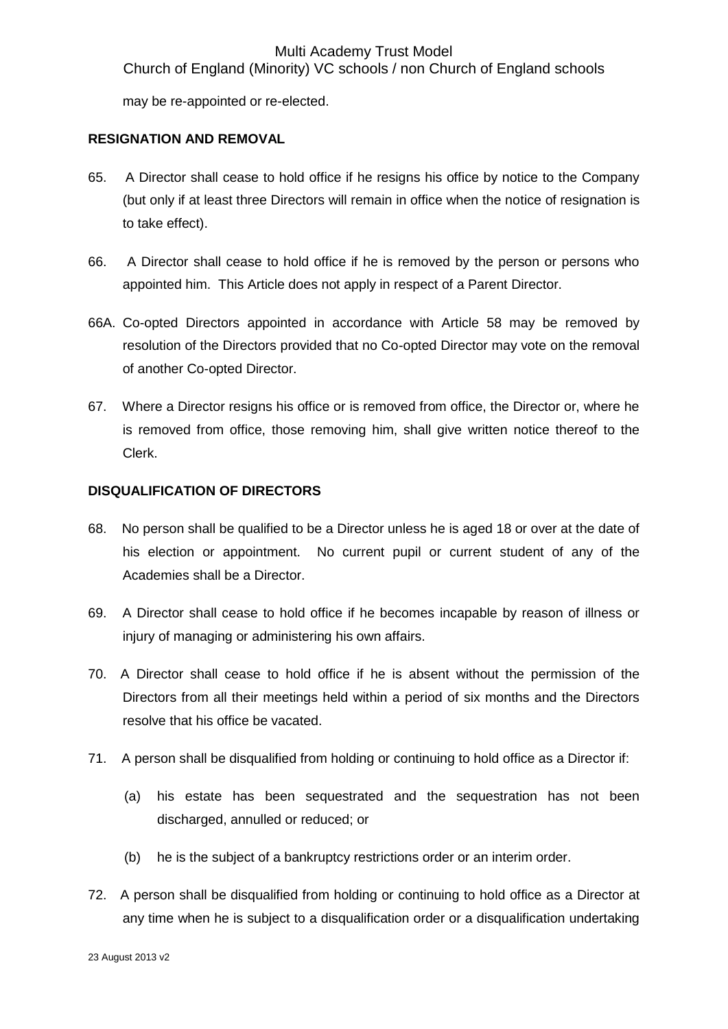Church of England (Minority) VC schools / non Church of England schools

may be re-appointed or re-elected.

# **RESIGNATION AND REMOVAL**

- 65. A Director shall cease to hold office if he resigns his office by notice to the Company (but only if at least three Directors will remain in office when the notice of resignation is to take effect).
- 66. A Director shall cease to hold office if he is removed by the person or persons who appointed him. This Article does not apply in respect of a Parent Director.
- 66A. Co-opted Directors appointed in accordance with Article 58 may be removed by resolution of the Directors provided that no Co-opted Director may vote on the removal of another Co-opted Director.
- 67. Where a Director resigns his office or is removed from office, the Director or, where he is removed from office, those removing him, shall give written notice thereof to the Clerk.

# **DISQUALIFICATION OF DIRECTORS**

- 68. No person shall be qualified to be a Director unless he is aged 18 or over at the date of his election or appointment. No current pupil or current student of any of the Academies shall be a Director.
- 69. A Director shall cease to hold office if he becomes incapable by reason of illness or injury of managing or administering his own affairs.
- 70. A Director shall cease to hold office if he is absent without the permission of the Directors from all their meetings held within a period of six months and the Directors resolve that his office be vacated.
- 71. A person shall be disqualified from holding or continuing to hold office as a Director if:
	- (a) his estate has been sequestrated and the sequestration has not been discharged, annulled or reduced; or
	- (b) he is the subject of a bankruptcy restrictions order or an interim order.
- 72. A person shall be disqualified from holding or continuing to hold office as a Director at any time when he is subject to a disqualification order or a disqualification undertaking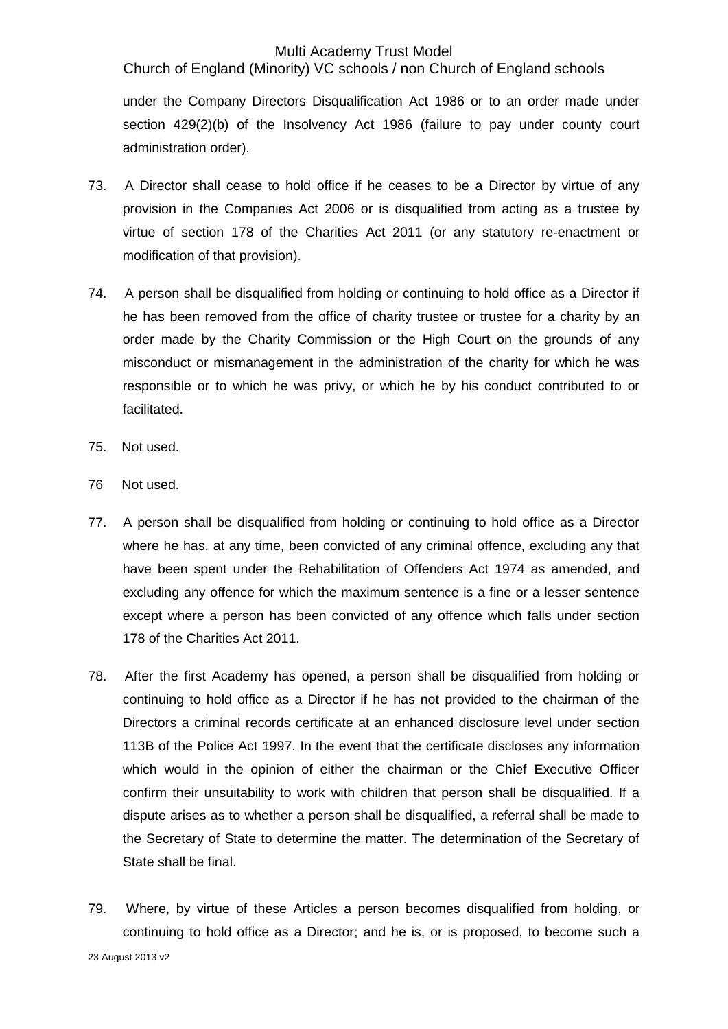Church of England (Minority) VC schools / non Church of England schools

under the Company Directors Disqualification Act 1986 or to an order made under section 429(2)(b) of the Insolvency Act 1986 (failure to pay under county court administration order).

- 73. A Director shall cease to hold office if he ceases to be a Director by virtue of any provision in the Companies Act 2006 or is disqualified from acting as a trustee by virtue of section 178 of the Charities Act 2011 (or any statutory re-enactment or modification of that provision).
- 74. A person shall be disqualified from holding or continuing to hold office as a Director if he has been removed from the office of charity trustee or trustee for a charity by an order made by the Charity Commission or the High Court on the grounds of any misconduct or mismanagement in the administration of the charity for which he was responsible or to which he was privy, or which he by his conduct contributed to or facilitated.
- 75. Not used.
- 76 Not used.
- 77. A person shall be disqualified from holding or continuing to hold office as a Director where he has, at any time, been convicted of any criminal offence, excluding any that have been spent under the Rehabilitation of Offenders Act 1974 as amended, and excluding any offence for which the maximum sentence is a fine or a lesser sentence except where a person has been convicted of any offence which falls under section 178 of the Charities Act 2011.
- 78. After the first Academy has opened, a person shall be disqualified from holding or continuing to hold office as a Director if he has not provided to the chairman of the Directors a criminal records certificate at an enhanced disclosure level under section 113B of the Police Act 1997. In the event that the certificate discloses any information which would in the opinion of either the chairman or the Chief Executive Officer confirm their unsuitability to work with children that person shall be disqualified. If a dispute arises as to whether a person shall be disqualified, a referral shall be made to the Secretary of State to determine the matter. The determination of the Secretary of State shall be final.
- 79. Where, by virtue of these Articles a person becomes disqualified from holding, or continuing to hold office as a Director; and he is, or is proposed, to become such a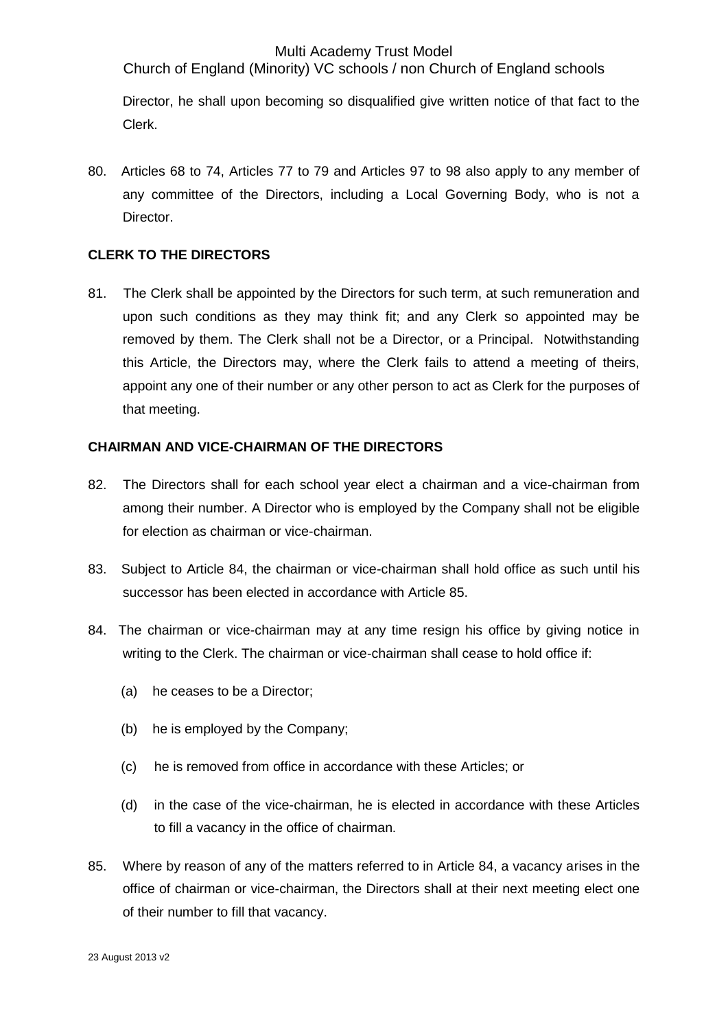Church of England (Minority) VC schools / non Church of England schools

Director, he shall upon becoming so disqualified give written notice of that fact to the Clerk.

80. Articles 68 to 74, Articles 77 to 79 and Articles 97 to 98 also apply to any member of any committee of the Directors, including a Local Governing Body, who is not a Director.

# **CLERK TO THE DIRECTORS**

81. The Clerk shall be appointed by the Directors for such term, at such remuneration and upon such conditions as they may think fit; and any Clerk so appointed may be removed by them. The Clerk shall not be a Director, or a Principal. Notwithstanding this Article, the Directors may, where the Clerk fails to attend a meeting of theirs, appoint any one of their number or any other person to act as Clerk for the purposes of that meeting.

# **CHAIRMAN AND VICE-CHAIRMAN OF THE DIRECTORS**

- 82. The Directors shall for each school year elect a chairman and a vice-chairman from among their number. A Director who is employed by the Company shall not be eligible for election as chairman or vice-chairman.
- 83. Subject to Article 84, the chairman or vice-chairman shall hold office as such until his successor has been elected in accordance with Article 85.
- 84. The chairman or vice-chairman may at any time resign his office by giving notice in writing to the Clerk. The chairman or vice-chairman shall cease to hold office if:
	- (a) he ceases to be a Director;
	- (b) he is employed by the Company;
	- (c) he is removed from office in accordance with these Articles; or
	- (d) in the case of the vice-chairman, he is elected in accordance with these Articles to fill a vacancy in the office of chairman.
- 85. Where by reason of any of the matters referred to in Article 84, a vacancy arises in the office of chairman or vice-chairman, the Directors shall at their next meeting elect one of their number to fill that vacancy.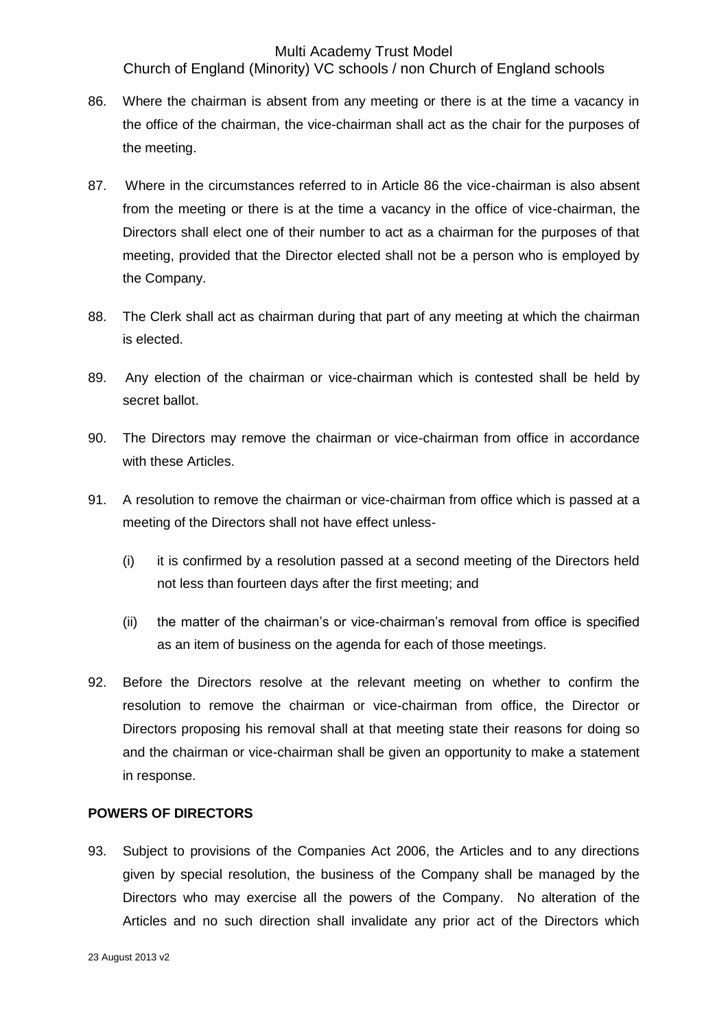Church of England (Minority) VC schools / non Church of England schools

- 86. Where the chairman is absent from any meeting or there is at the time a vacancy in the office of the chairman, the vice-chairman shall act as the chair for the purposes of the meeting.
- 87. Where in the circumstances referred to in Article 86 the vice-chairman is also absent from the meeting or there is at the time a vacancy in the office of vice-chairman, the Directors shall elect one of their number to act as a chairman for the purposes of that meeting, provided that the Director elected shall not be a person who is employed by the Company.
- 88. The Clerk shall act as chairman during that part of any meeting at which the chairman is elected.
- 89. Any election of the chairman or vice-chairman which is contested shall be held by secret ballot.
- 90. The Directors may remove the chairman or vice-chairman from office in accordance with these Articles.
- 91. A resolution to remove the chairman or vice-chairman from office which is passed at a meeting of the Directors shall not have effect unless-
	- (i) it is confirmed by a resolution passed at a second meeting of the Directors held not less than fourteen days after the first meeting; and
	- (ii) the matter of the chairman's or vice-chairman's removal from office is specified as an item of business on the agenda for each of those meetings.
- 92. Before the Directors resolve at the relevant meeting on whether to confirm the resolution to remove the chairman or vice-chairman from office, the Director or Directors proposing his removal shall at that meeting state their reasons for doing so and the chairman or vice-chairman shall be given an opportunity to make a statement in response.

# **POWERS OF DIRECTORS**

93. Subject to provisions of the Companies Act 2006, the Articles and to any directions given by special resolution, the business of the Company shall be managed by the Directors who may exercise all the powers of the Company. No alteration of the Articles and no such direction shall invalidate any prior act of the Directors which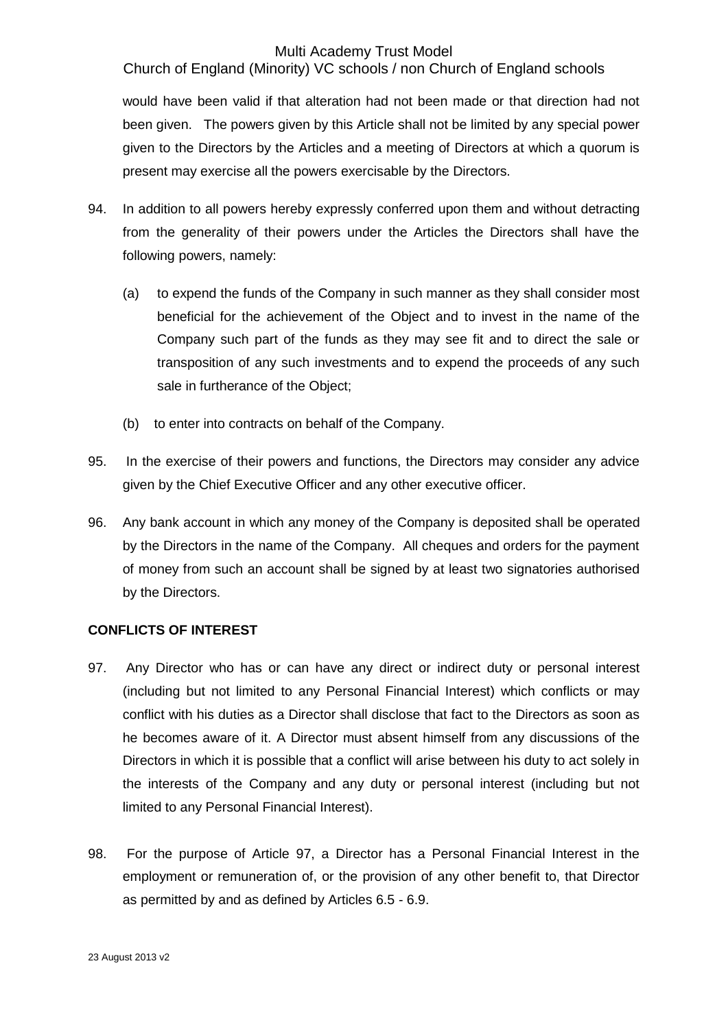Church of England (Minority) VC schools / non Church of England schools

would have been valid if that alteration had not been made or that direction had not been given. The powers given by this Article shall not be limited by any special power given to the Directors by the Articles and a meeting of Directors at which a quorum is present may exercise all the powers exercisable by the Directors.

- 94. In addition to all powers hereby expressly conferred upon them and without detracting from the generality of their powers under the Articles the Directors shall have the following powers, namely:
	- (a) to expend the funds of the Company in such manner as they shall consider most beneficial for the achievement of the Object and to invest in the name of the Company such part of the funds as they may see fit and to direct the sale or transposition of any such investments and to expend the proceeds of any such sale in furtherance of the Object;
	- (b) to enter into contracts on behalf of the Company.
- 95. In the exercise of their powers and functions, the Directors may consider any advice given by the Chief Executive Officer and any other executive officer.
- 96. Any bank account in which any money of the Company is deposited shall be operated by the Directors in the name of the Company. All cheques and orders for the payment of money from such an account shall be signed by at least two signatories authorised by the Directors.

## **CONFLICTS OF INTEREST**

- 97. Any Director who has or can have any direct or indirect duty or personal interest (including but not limited to any Personal Financial Interest) which conflicts or may conflict with his duties as a Director shall disclose that fact to the Directors as soon as he becomes aware of it. A Director must absent himself from any discussions of the Directors in which it is possible that a conflict will arise between his duty to act solely in the interests of the Company and any duty or personal interest (including but not limited to any Personal Financial Interest).
- 98. For the purpose of Article 97, a Director has a Personal Financial Interest in the employment or remuneration of, or the provision of any other benefit to, that Director as permitted by and as defined by Articles 6.5 - 6.9.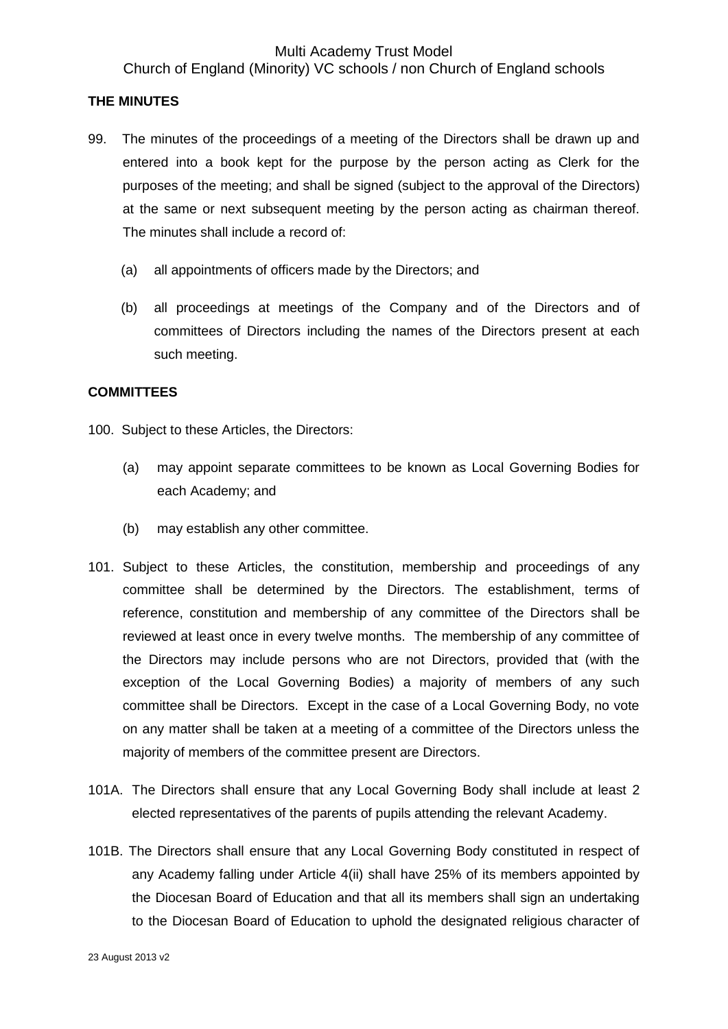#### **THE MINUTES**

- 99. The minutes of the proceedings of a meeting of the Directors shall be drawn up and entered into a book kept for the purpose by the person acting as Clerk for the purposes of the meeting; and shall be signed (subject to the approval of the Directors) at the same or next subsequent meeting by the person acting as chairman thereof. The minutes shall include a record of:
	- (a) all appointments of officers made by the Directors; and
	- (b) all proceedings at meetings of the Company and of the Directors and of committees of Directors including the names of the Directors present at each such meeting.

#### **COMMITTEES**

100. Subject to these Articles, the Directors:

- (a) may appoint separate committees to be known as Local Governing Bodies for each Academy; and
- (b) may establish any other committee.
- 101. Subject to these Articles, the constitution, membership and proceedings of any committee shall be determined by the Directors. The establishment, terms of reference, constitution and membership of any committee of the Directors shall be reviewed at least once in every twelve months. The membership of any committee of the Directors may include persons who are not Directors, provided that (with the exception of the Local Governing Bodies) a majority of members of any such committee shall be Directors. Except in the case of a Local Governing Body, no vote on any matter shall be taken at a meeting of a committee of the Directors unless the majority of members of the committee present are Directors.
- 101A. The Directors shall ensure that any Local Governing Body shall include at least 2 elected representatives of the parents of pupils attending the relevant Academy.
- 101B. The Directors shall ensure that any Local Governing Body constituted in respect of any Academy falling under Article 4(ii) shall have 25% of its members appointed by the Diocesan Board of Education and that all its members shall sign an undertaking to the Diocesan Board of Education to uphold the designated religious character of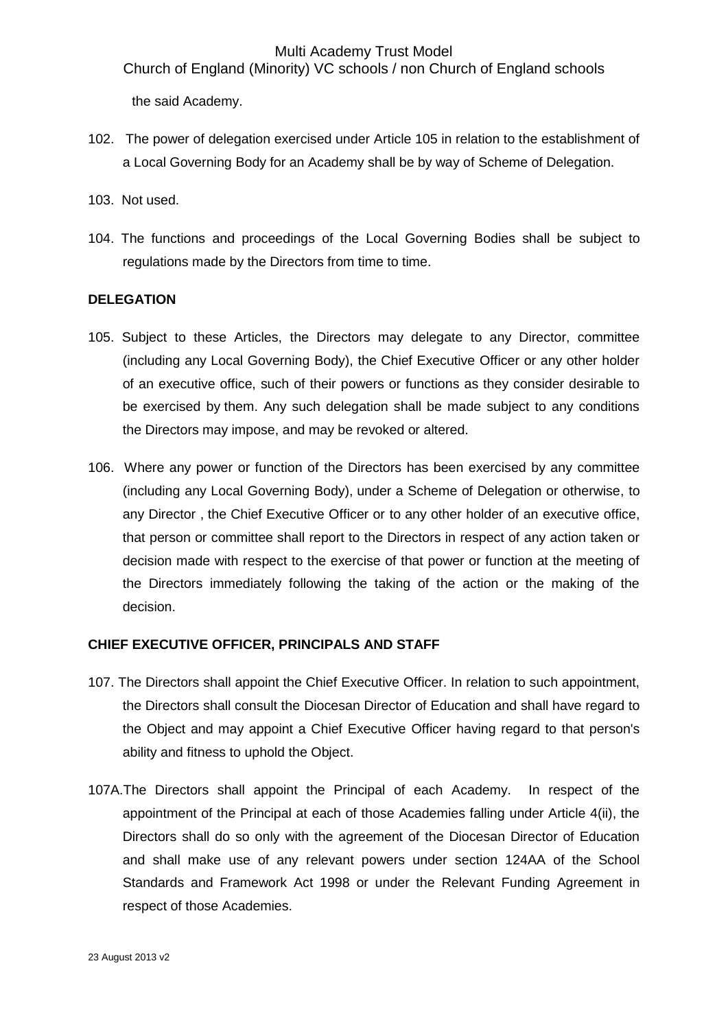Church of England (Minority) VC schools / non Church of England schools

the said Academy.

- 102. The power of delegation exercised under Article 105 in relation to the establishment of a Local Governing Body for an Academy shall be by way of Scheme of Delegation.
- 103. Not used.
- 104. The functions and proceedings of the Local Governing Bodies shall be subject to regulations made by the Directors from time to time.

# **DELEGATION**

- 105. Subject to these Articles, the Directors may delegate to any Director, committee (including any Local Governing Body), the Chief Executive Officer or any other holder of an executive office, such of their powers or functions as they consider desirable to be exercised by them. Any such delegation shall be made subject to any conditions the Directors may impose, and may be revoked or altered.
- 106. Where any power or function of the Directors has been exercised by any committee (including any Local Governing Body), under a Scheme of Delegation or otherwise, to any Director , the Chief Executive Officer or to any other holder of an executive office, that person or committee shall report to the Directors in respect of any action taken or decision made with respect to the exercise of that power or function at the meeting of the Directors immediately following the taking of the action or the making of the decision.

# **CHIEF EXECUTIVE OFFICER, PRINCIPALS AND STAFF**

- 107. The Directors shall appoint the Chief Executive Officer. In relation to such appointment, the Directors shall consult the Diocesan Director of Education and shall have regard to the Object and may appoint a Chief Executive Officer having regard to that person's ability and fitness to uphold the Object.
- 107A.The Directors shall appoint the Principal of each Academy. In respect of the appointment of the Principal at each of those Academies falling under Article 4(ii), the Directors shall do so only with the agreement of the Diocesan Director of Education and shall make use of any relevant powers under section 124AA of the School Standards and Framework Act 1998 or under the Relevant Funding Agreement in respect of those Academies.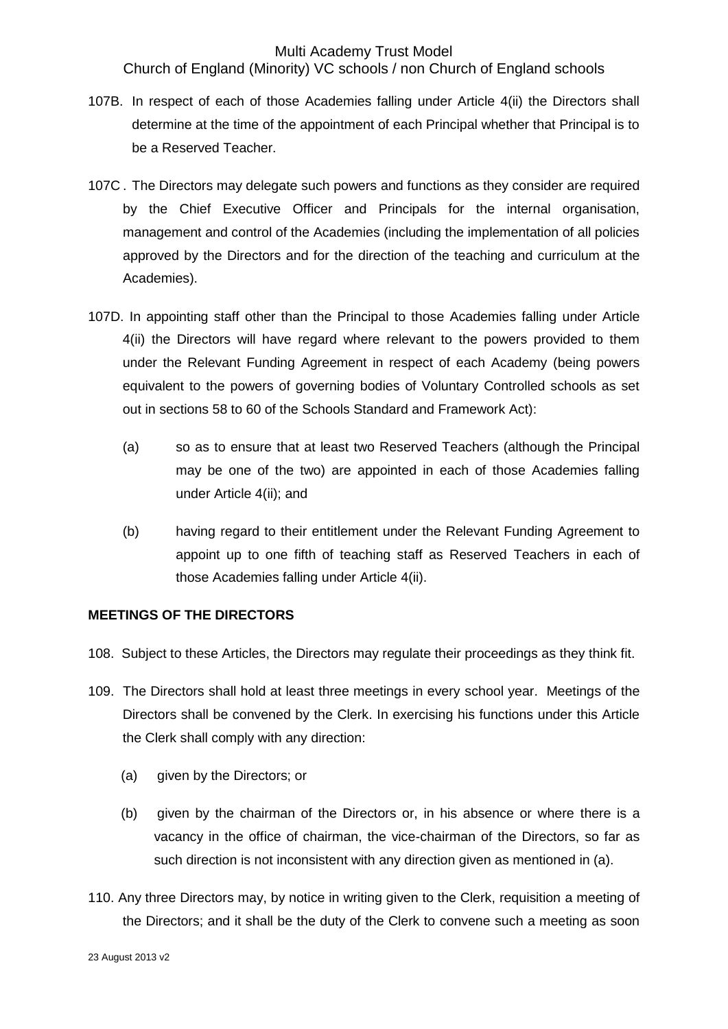# Church of England (Minority) VC schools / non Church of England schools

- 107B. In respect of each of those Academies falling under Article 4(ii) the Directors shall determine at the time of the appointment of each Principal whether that Principal is to be a Reserved Teacher.
- 107C . The Directors may delegate such powers and functions as they consider are required by the Chief Executive Officer and Principals for the internal organisation, management and control of the Academies (including the implementation of all policies approved by the Directors and for the direction of the teaching and curriculum at the Academies).
- 107D. In appointing staff other than the Principal to those Academies falling under Article 4(ii) the Directors will have regard where relevant to the powers provided to them under the Relevant Funding Agreement in respect of each Academy (being powers equivalent to the powers of governing bodies of Voluntary Controlled schools as set out in sections 58 to 60 of the Schools Standard and Framework Act):
	- (a) so as to ensure that at least two Reserved Teachers (although the Principal may be one of the two) are appointed in each of those Academies falling under Article 4(ii); and
	- (b) having regard to their entitlement under the Relevant Funding Agreement to appoint up to one fifth of teaching staff as Reserved Teachers in each of those Academies falling under Article 4(ii).

## **MEETINGS OF THE DIRECTORS**

- 108. Subject to these Articles, the Directors may regulate their proceedings as they think fit.
- 109. The Directors shall hold at least three meetings in every school year. Meetings of the Directors shall be convened by the Clerk. In exercising his functions under this Article the Clerk shall comply with any direction:
	- (a) given by the Directors; or
	- (b) given by the chairman of the Directors or, in his absence or where there is a vacancy in the office of chairman, the vice-chairman of the Directors, so far as such direction is not inconsistent with any direction given as mentioned in (a).
- 110. Any three Directors may, by notice in writing given to the Clerk, requisition a meeting of the Directors; and it shall be the duty of the Clerk to convene such a meeting as soon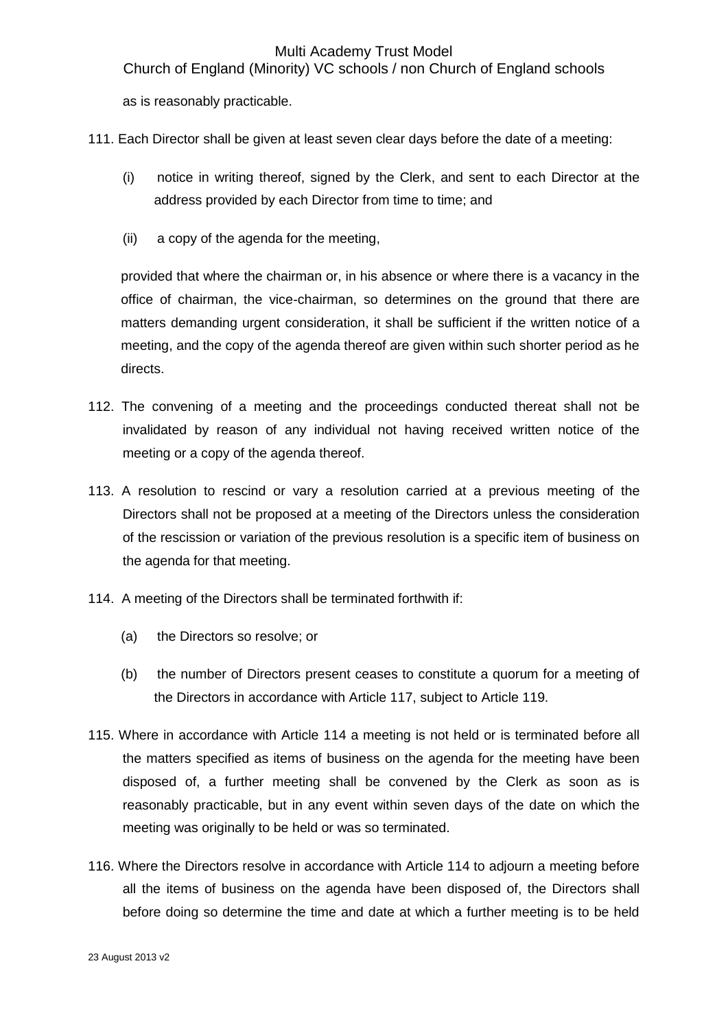Church of England (Minority) VC schools / non Church of England schools

as is reasonably practicable.

- 111. Each Director shall be given at least seven clear days before the date of a meeting:
	- (i) notice in writing thereof, signed by the Clerk, and sent to each Director at the address provided by each Director from time to time; and
	- (ii) a copy of the agenda for the meeting,

provided that where the chairman or, in his absence or where there is a vacancy in the office of chairman, the vice-chairman, so determines on the ground that there are matters demanding urgent consideration, it shall be sufficient if the written notice of a meeting, and the copy of the agenda thereof are given within such shorter period as he directs.

- 112. The convening of a meeting and the proceedings conducted thereat shall not be invalidated by reason of any individual not having received written notice of the meeting or a copy of the agenda thereof.
- 113. A resolution to rescind or vary a resolution carried at a previous meeting of the Directors shall not be proposed at a meeting of the Directors unless the consideration of the rescission or variation of the previous resolution is a specific item of business on the agenda for that meeting.
- 114. A meeting of the Directors shall be terminated forthwith if:
	- (a) the Directors so resolve; or
	- (b) the number of Directors present ceases to constitute a quorum for a meeting of the Directors in accordance with Article 117, subject to Article 119.
- 115. Where in accordance with Article 114 a meeting is not held or is terminated before all the matters specified as items of business on the agenda for the meeting have been disposed of, a further meeting shall be convened by the Clerk as soon as is reasonably practicable, but in any event within seven days of the date on which the meeting was originally to be held or was so terminated.
- 116. Where the Directors resolve in accordance with Article 114 to adjourn a meeting before all the items of business on the agenda have been disposed of, the Directors shall before doing so determine the time and date at which a further meeting is to be held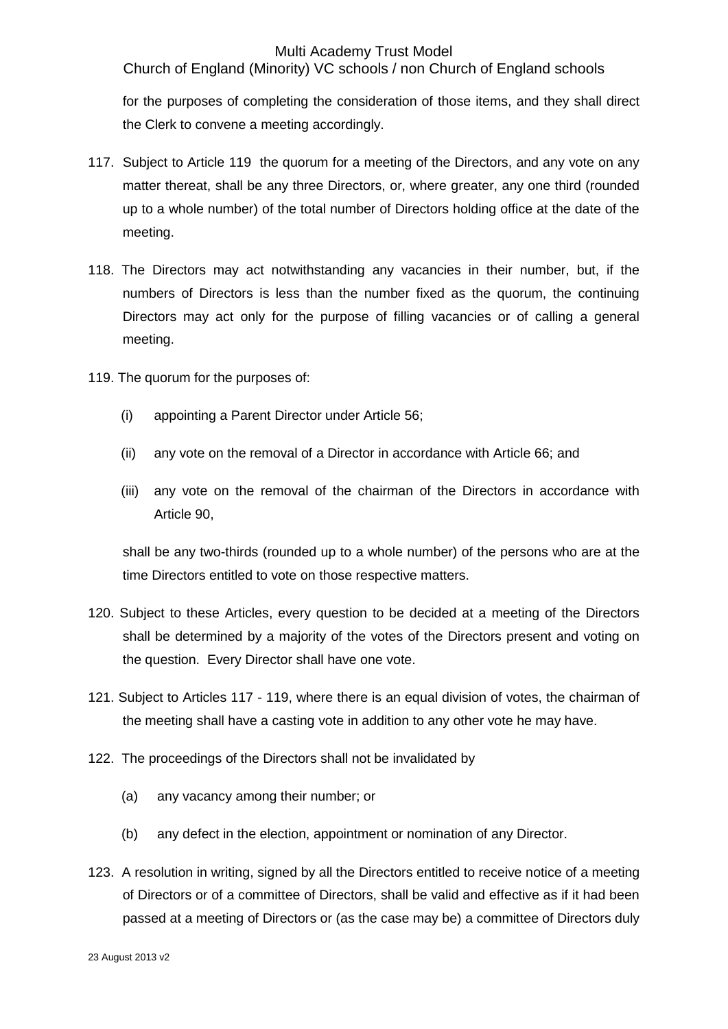Church of England (Minority) VC schools / non Church of England schools

for the purposes of completing the consideration of those items, and they shall direct the Clerk to convene a meeting accordingly.

- 117. Subject to Article 119 the quorum for a meeting of the Directors, and any vote on any matter thereat, shall be any three Directors, or, where greater, any one third (rounded up to a whole number) of the total number of Directors holding office at the date of the meeting.
- 118. The Directors may act notwithstanding any vacancies in their number, but, if the numbers of Directors is less than the number fixed as the quorum, the continuing Directors may act only for the purpose of filling vacancies or of calling a general meeting.
- 119. The quorum for the purposes of:
	- (i) appointing a Parent Director under Article 56;
	- (ii) any vote on the removal of a Director in accordance with Article 66; and
	- (iii) any vote on the removal of the chairman of the Directors in accordance with Article 90,

shall be any two-thirds (rounded up to a whole number) of the persons who are at the time Directors entitled to vote on those respective matters.

- 120. Subject to these Articles, every question to be decided at a meeting of the Directors shall be determined by a majority of the votes of the Directors present and voting on the question. Every Director shall have one vote.
- 121. Subject to Articles 117 119, where there is an equal division of votes, the chairman of the meeting shall have a casting vote in addition to any other vote he may have.
- 122. The proceedings of the Directors shall not be invalidated by
	- (a) any vacancy among their number; or
	- (b) any defect in the election, appointment or nomination of any Director.
- 123. A resolution in writing, signed by all the Directors entitled to receive notice of a meeting of Directors or of a committee of Directors, shall be valid and effective as if it had been passed at a meeting of Directors or (as the case may be) a committee of Directors duly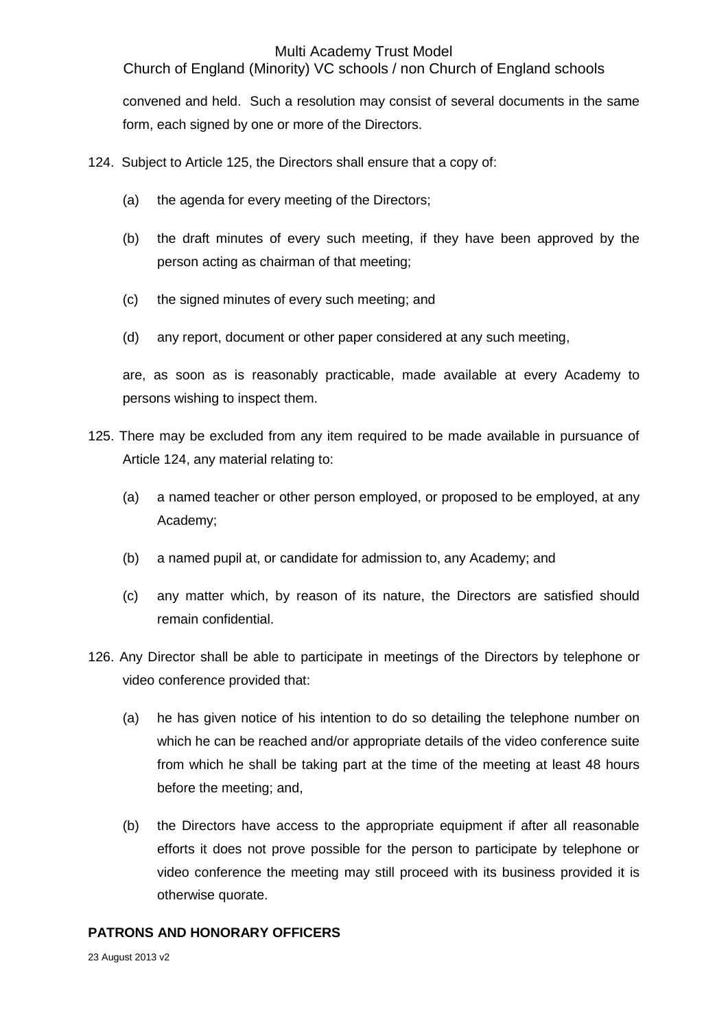Church of England (Minority) VC schools / non Church of England schools

convened and held. Such a resolution may consist of several documents in the same form, each signed by one or more of the Directors.

- 124. Subject to Article 125, the Directors shall ensure that a copy of:
	- (a) the agenda for every meeting of the Directors;
	- (b) the draft minutes of every such meeting, if they have been approved by the person acting as chairman of that meeting;
	- (c) the signed minutes of every such meeting; and
	- (d) any report, document or other paper considered at any such meeting,

are, as soon as is reasonably practicable, made available at every Academy to persons wishing to inspect them.

- 125. There may be excluded from any item required to be made available in pursuance of Article 124, any material relating to:
	- (a) a named teacher or other person employed, or proposed to be employed, at any Academy;
	- (b) a named pupil at, or candidate for admission to, any Academy; and
	- (c) any matter which, by reason of its nature, the Directors are satisfied should remain confidential.
- 126. Any Director shall be able to participate in meetings of the Directors by telephone or video conference provided that:
	- (a) he has given notice of his intention to do so detailing the telephone number on which he can be reached and/or appropriate details of the video conference suite from which he shall be taking part at the time of the meeting at least 48 hours before the meeting; and,
	- (b) the Directors have access to the appropriate equipment if after all reasonable efforts it does not prove possible for the person to participate by telephone or video conference the meeting may still proceed with its business provided it is otherwise quorate.

## **PATRONS AND HONORARY OFFICERS**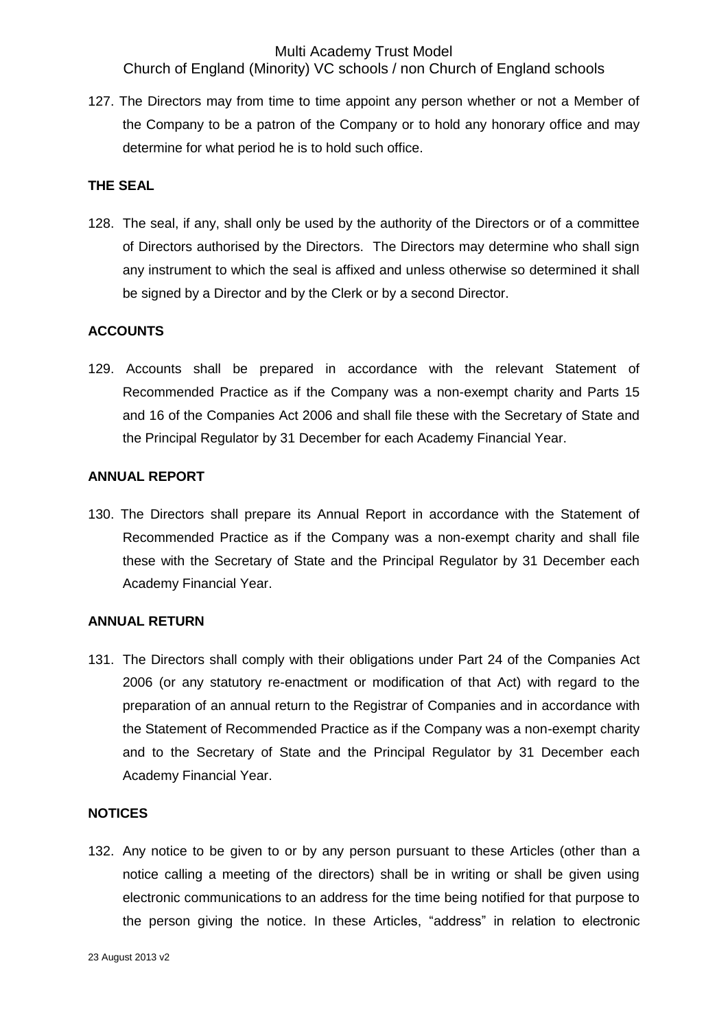Church of England (Minority) VC schools / non Church of England schools

127. The Directors may from time to time appoint any person whether or not a Member of the Company to be a patron of the Company or to hold any honorary office and may determine for what period he is to hold such office.

## **THE SEAL**

128. The seal, if any, shall only be used by the authority of the Directors or of a committee of Directors authorised by the Directors. The Directors may determine who shall sign any instrument to which the seal is affixed and unless otherwise so determined it shall be signed by a Director and by the Clerk or by a second Director.

# **ACCOUNTS**

129. Accounts shall be prepared in accordance with the relevant Statement of Recommended Practice as if the Company was a non-exempt charity and Parts 15 and 16 of the Companies Act 2006 and shall file these with the Secretary of State and the Principal Regulator by 31 December for each Academy Financial Year.

# **ANNUAL REPORT**

130. The Directors shall prepare its Annual Report in accordance with the Statement of Recommended Practice as if the Company was a non-exempt charity and shall file these with the Secretary of State and the Principal Regulator by 31 December each Academy Financial Year.

## **ANNUAL RETURN**

131. The Directors shall comply with their obligations under Part 24 of the Companies Act 2006 (or any statutory re-enactment or modification of that Act) with regard to the preparation of an annual return to the Registrar of Companies and in accordance with the Statement of Recommended Practice as if the Company was a non-exempt charity and to the Secretary of State and the Principal Regulator by 31 December each Academy Financial Year.

## **NOTICES**

132. Any notice to be given to or by any person pursuant to these Articles (other than a notice calling a meeting of the directors) shall be in writing or shall be given using electronic communications to an address for the time being notified for that purpose to the person giving the notice. In these Articles, "address" in relation to electronic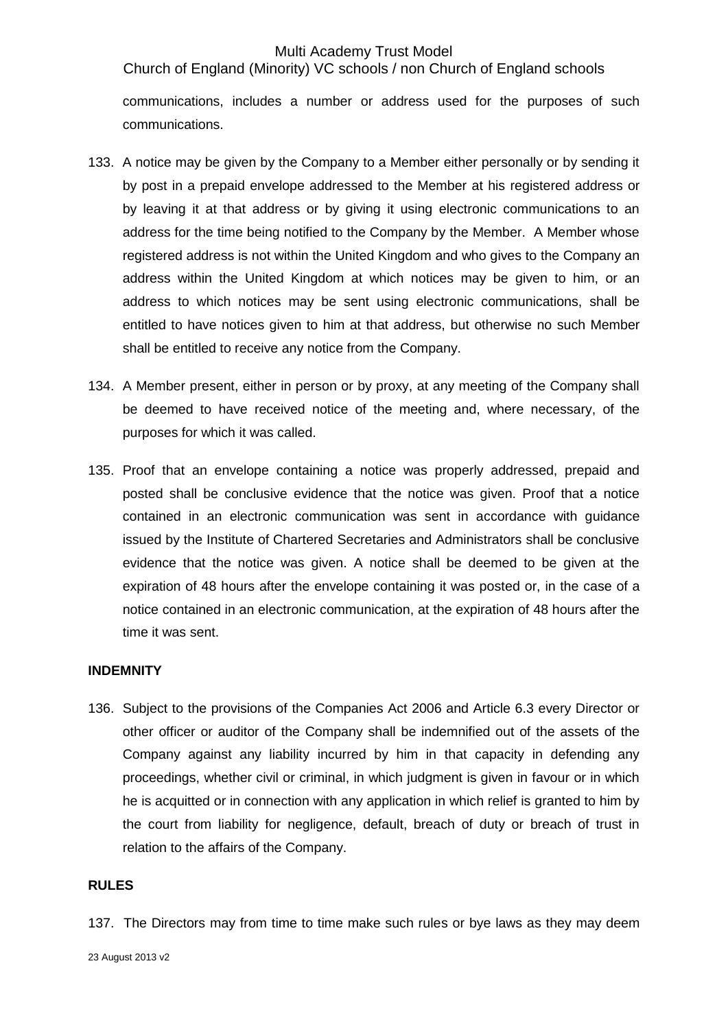Church of England (Minority) VC schools / non Church of England schools

communications, includes a number or address used for the purposes of such communications.

- 133. A notice may be given by the Company to a Member either personally or by sending it by post in a prepaid envelope addressed to the Member at his registered address or by leaving it at that address or by giving it using electronic communications to an address for the time being notified to the Company by the Member. A Member whose registered address is not within the United Kingdom and who gives to the Company an address within the United Kingdom at which notices may be given to him, or an address to which notices may be sent using electronic communications, shall be entitled to have notices given to him at that address, but otherwise no such Member shall be entitled to receive any notice from the Company.
- 134. A Member present, either in person or by proxy, at any meeting of the Company shall be deemed to have received notice of the meeting and, where necessary, of the purposes for which it was called.
- 135. Proof that an envelope containing a notice was properly addressed, prepaid and posted shall be conclusive evidence that the notice was given. Proof that a notice contained in an electronic communication was sent in accordance with guidance issued by the Institute of Chartered Secretaries and Administrators shall be conclusive evidence that the notice was given. A notice shall be deemed to be given at the expiration of 48 hours after the envelope containing it was posted or, in the case of a notice contained in an electronic communication, at the expiration of 48 hours after the time it was sent.

## **INDEMNITY**

136. Subject to the provisions of the Companies Act 2006 and Article 6.3 every Director or other officer or auditor of the Company shall be indemnified out of the assets of the Company against any liability incurred by him in that capacity in defending any proceedings, whether civil or criminal, in which judgment is given in favour or in which he is acquitted or in connection with any application in which relief is granted to him by the court from liability for negligence, default, breach of duty or breach of trust in relation to the affairs of the Company.

## **RULES**

137. The Directors may from time to time make such rules or bye laws as they may deem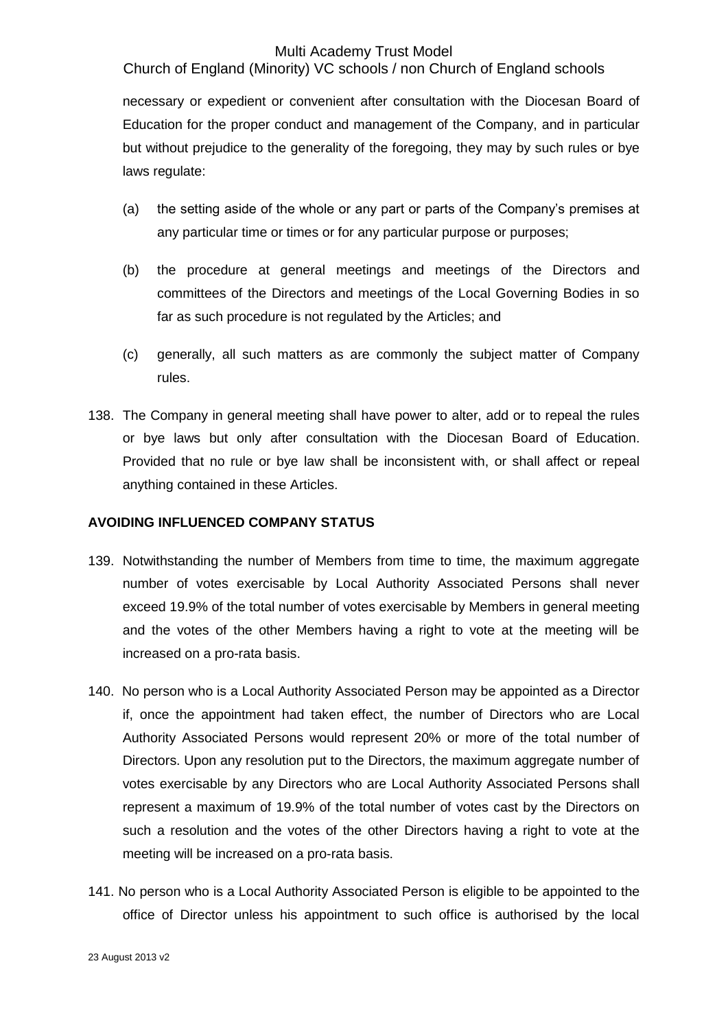Church of England (Minority) VC schools / non Church of England schools

necessary or expedient or convenient after consultation with the Diocesan Board of Education for the proper conduct and management of the Company, and in particular but without prejudice to the generality of the foregoing, they may by such rules or bye laws regulate:

- (a) the setting aside of the whole or any part or parts of the Company's premises at any particular time or times or for any particular purpose or purposes;
- (b) the procedure at general meetings and meetings of the Directors and committees of the Directors and meetings of the Local Governing Bodies in so far as such procedure is not regulated by the Articles; and
- (c) generally, all such matters as are commonly the subject matter of Company rules.
- 138. The Company in general meeting shall have power to alter, add or to repeal the rules or bye laws but only after consultation with the Diocesan Board of Education. Provided that no rule or bye law shall be inconsistent with, or shall affect or repeal anything contained in these Articles.

## **AVOIDING INFLUENCED COMPANY STATUS**

- 139. Notwithstanding the number of Members from time to time, the maximum aggregate number of votes exercisable by Local Authority Associated Persons shall never exceed 19.9% of the total number of votes exercisable by Members in general meeting and the votes of the other Members having a right to vote at the meeting will be increased on a pro-rata basis.
- 140. No person who is a Local Authority Associated Person may be appointed as a Director if, once the appointment had taken effect, the number of Directors who are Local Authority Associated Persons would represent 20% or more of the total number of Directors. Upon any resolution put to the Directors, the maximum aggregate number of votes exercisable by any Directors who are Local Authority Associated Persons shall represent a maximum of 19.9% of the total number of votes cast by the Directors on such a resolution and the votes of the other Directors having a right to vote at the meeting will be increased on a pro-rata basis.
- 141. No person who is a Local Authority Associated Person is eligible to be appointed to the office of Director unless his appointment to such office is authorised by the local